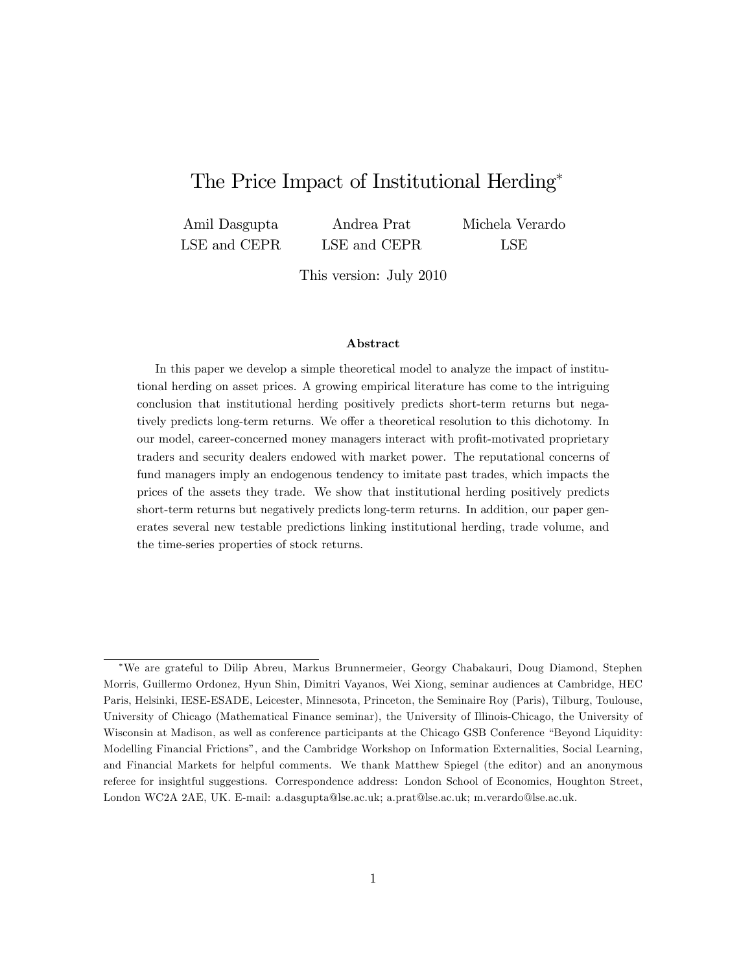# The Price Impact of Institutional Herding

Amil Dasgupta LSE and CEPR Andrea Prat LSE and CEPR Michela Verardo LSE

This version: July 2010

#### Abstract

In this paper we develop a simple theoretical model to analyze the impact of institutional herding on asset prices. A growing empirical literature has come to the intriguing conclusion that institutional herding positively predicts short-term returns but negatively predicts long-term returns. We offer a theoretical resolution to this dichotomy. In our model, career-concerned money managers interact with profit-motivated proprietary traders and security dealers endowed with market power. The reputational concerns of fund managers imply an endogenous tendency to imitate past trades, which impacts the prices of the assets they trade. We show that institutional herding positively predicts short-term returns but negatively predicts long-term returns. In addition, our paper generates several new testable predictions linking institutional herding, trade volume, and the time-series properties of stock returns.

We are grateful to Dilip Abreu, Markus Brunnermeier, Georgy Chabakauri, Doug Diamond, Stephen Morris, Guillermo Ordonez, Hyun Shin, Dimitri Vayanos, Wei Xiong, seminar audiences at Cambridge, HEC Paris, Helsinki, IESE-ESADE, Leicester, Minnesota, Princeton, the Seminaire Roy (Paris), Tilburg, Toulouse, University of Chicago (Mathematical Finance seminar), the University of Illinois-Chicago, the University of Wisconsin at Madison, as well as conference participants at the Chicago GSB Conference "Beyond Liquidity: Modelling Financial Frictionsî, and the Cambridge Workshop on Information Externalities, Social Learning, and Financial Markets for helpful comments. We thank Matthew Spiegel (the editor) and an anonymous referee for insightful suggestions. Correspondence address: London School of Economics, Houghton Street, London WC2A 2AE, UK. E-mail: a.dasgupta@lse.ac.uk; a.prat@lse.ac.uk; m.verardo@lse.ac.uk.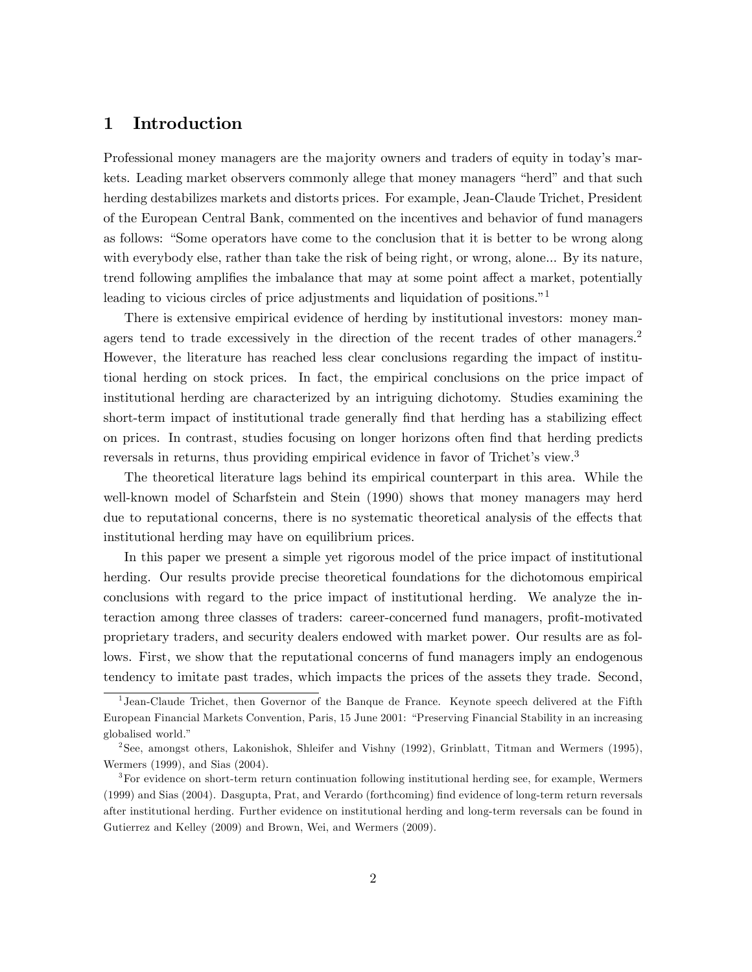### 1 Introduction

Professional money managers are the majority owners and traders of equity in today's markets. Leading market observers commonly allege that money managers "herd" and that such herding destabilizes markets and distorts prices. For example, Jean-Claude Trichet, President of the European Central Bank, commented on the incentives and behavior of fund managers as follows: "Some operators have come to the conclusion that it is better to be wrong along with everybody else, rather than take the risk of being right, or wrong, alone... By its nature, trend following amplifies the imbalance that may at some point affect a market, potentially leading to vicious circles of price adjustments and liquidation of positions.<sup> $n<sup>1</sup>$ </sup>

There is extensive empirical evidence of herding by institutional investors: money managers tend to trade excessively in the direction of the recent trades of other managers.<sup>2</sup> However, the literature has reached less clear conclusions regarding the impact of institutional herding on stock prices. In fact, the empirical conclusions on the price impact of institutional herding are characterized by an intriguing dichotomy. Studies examining the short-term impact of institutional trade generally find that herding has a stabilizing effect on prices. In contrast, studies focusing on longer horizons often Önd that herding predicts reversals in returns, thus providing empirical evidence in favor of Trichet's view.<sup>3</sup>

The theoretical literature lags behind its empirical counterpart in this area. While the well-known model of Scharfstein and Stein (1990) shows that money managers may herd due to reputational concerns, there is no systematic theoretical analysis of the effects that institutional herding may have on equilibrium prices.

In this paper we present a simple yet rigorous model of the price impact of institutional herding. Our results provide precise theoretical foundations for the dichotomous empirical conclusions with regard to the price impact of institutional herding. We analyze the interaction among three classes of traders: career-concerned fund managers, profit-motivated proprietary traders, and security dealers endowed with market power. Our results are as follows. First, we show that the reputational concerns of fund managers imply an endogenous tendency to imitate past trades, which impacts the prices of the assets they trade. Second,

<sup>&</sup>lt;sup>1</sup> Jean-Claude Trichet, then Governor of the Banque de France. Keynote speech delivered at the Fifth European Financial Markets Convention, Paris, 15 June 2001: "Preserving Financial Stability in an increasing globalised world."

<sup>2</sup> See, amongst others, Lakonishok, Shleifer and Vishny (1992), Grinblatt, Titman and Wermers (1995), Wermers (1999), and Sias (2004).

<sup>&</sup>lt;sup>3</sup>For evidence on short-term return continuation following institutional herding see, for example, Wermers (1999) and Sias (2004). Dasgupta, Prat, and Verardo (forthcoming) Önd evidence of long-term return reversals after institutional herding. Further evidence on institutional herding and long-term reversals can be found in Gutierrez and Kelley (2009) and Brown, Wei, and Wermers (2009).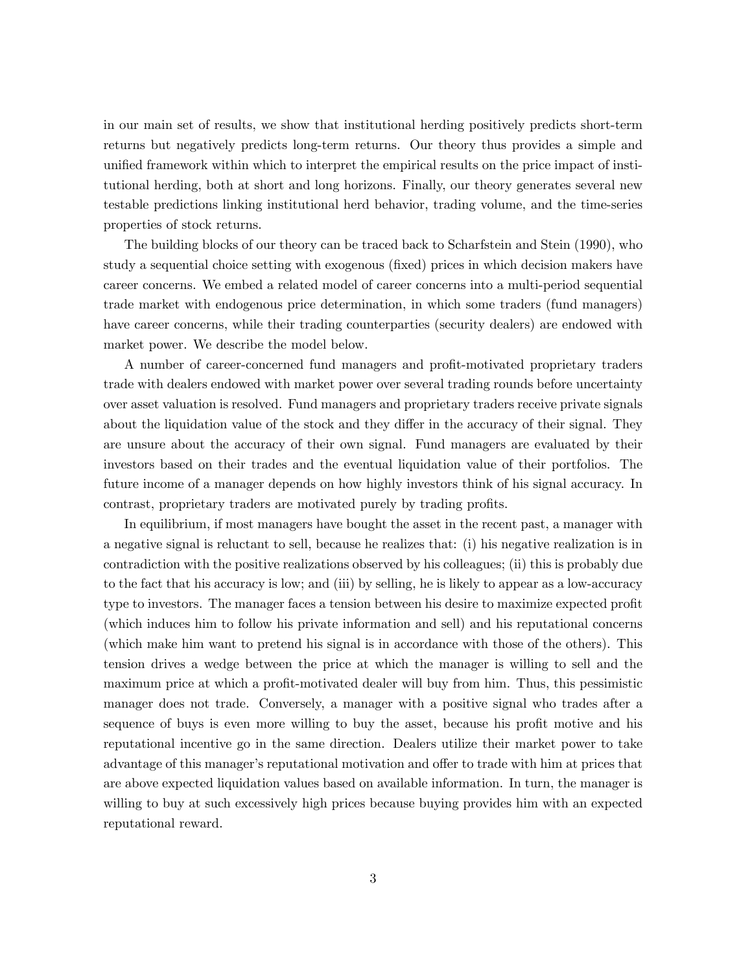in our main set of results, we show that institutional herding positively predicts short-term returns but negatively predicts long-term returns. Our theory thus provides a simple and unified framework within which to interpret the empirical results on the price impact of institutional herding, both at short and long horizons. Finally, our theory generates several new testable predictions linking institutional herd behavior, trading volume, and the time-series properties of stock returns.

The building blocks of our theory can be traced back to Scharfstein and Stein (1990), who study a sequential choice setting with exogenous (Öxed) prices in which decision makers have career concerns. We embed a related model of career concerns into a multi-period sequential trade market with endogenous price determination, in which some traders (fund managers) have career concerns, while their trading counterparties (security dealers) are endowed with market power. We describe the model below.

A number of career-concerned fund managers and profit-motivated proprietary traders trade with dealers endowed with market power over several trading rounds before uncertainty over asset valuation is resolved. Fund managers and proprietary traders receive private signals about the liquidation value of the stock and they differ in the accuracy of their signal. They are unsure about the accuracy of their own signal. Fund managers are evaluated by their investors based on their trades and the eventual liquidation value of their portfolios. The future income of a manager depends on how highly investors think of his signal accuracy. In contrast, proprietary traders are motivated purely by trading profits.

In equilibrium, if most managers have bought the asset in the recent past, a manager with a negative signal is reluctant to sell, because he realizes that: (i) his negative realization is in contradiction with the positive realizations observed by his colleagues; (ii) this is probably due to the fact that his accuracy is low; and (iii) by selling, he is likely to appear as a low-accuracy type to investors. The manager faces a tension between his desire to maximize expected profit (which induces him to follow his private information and sell) and his reputational concerns (which make him want to pretend his signal is in accordance with those of the others). This tension drives a wedge between the price at which the manager is willing to sell and the maximum price at which a profit-motivated dealer will buy from him. Thus, this pessimistic manager does not trade. Conversely, a manager with a positive signal who trades after a sequence of buys is even more willing to buy the asset, because his profit motive and his reputational incentive go in the same direction. Dealers utilize their market power to take advantage of this manager's reputational motivation and offer to trade with him at prices that are above expected liquidation values based on available information. In turn, the manager is willing to buy at such excessively high prices because buying provides him with an expected reputational reward.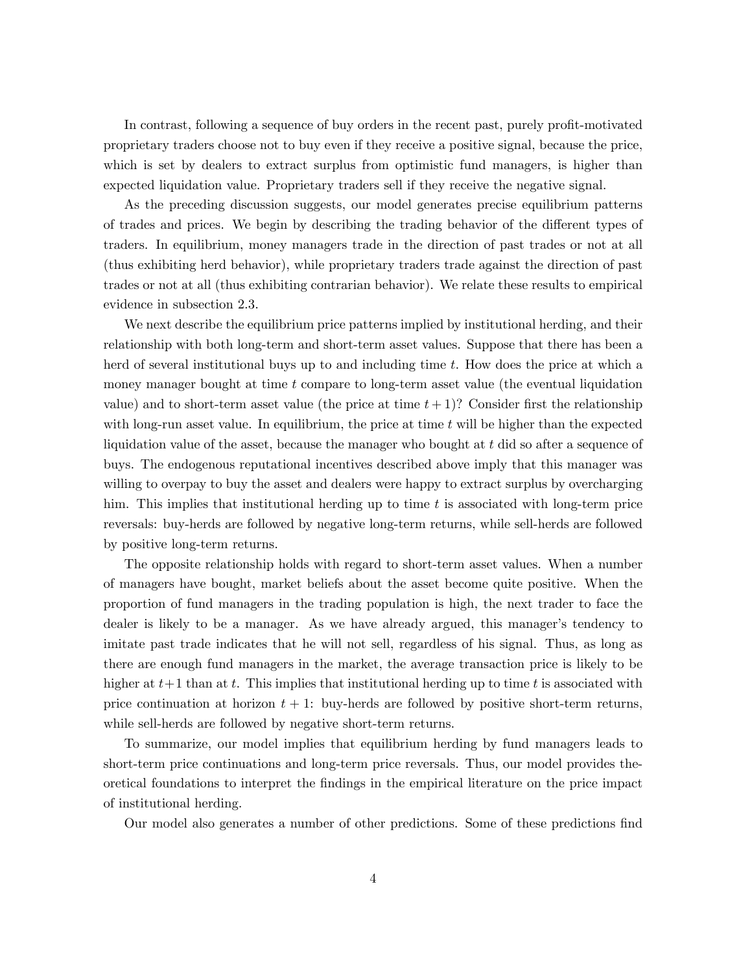In contrast, following a sequence of buy orders in the recent past, purely profit-motivated proprietary traders choose not to buy even if they receive a positive signal, because the price, which is set by dealers to extract surplus from optimistic fund managers, is higher than expected liquidation value. Proprietary traders sell if they receive the negative signal.

As the preceding discussion suggests, our model generates precise equilibrium patterns of trades and prices. We begin by describing the trading behavior of the different types of traders. In equilibrium, money managers trade in the direction of past trades or not at all (thus exhibiting herd behavior), while proprietary traders trade against the direction of past trades or not at all (thus exhibiting contrarian behavior). We relate these results to empirical evidence in subsection 2.3.

We next describe the equilibrium price patterns implied by institutional herding, and their relationship with both long-term and short-term asset values. Suppose that there has been a herd of several institutional buys up to and including time t. How does the price at which a money manager bought at time  $t$  compare to long-term asset value (the eventual liquidation value) and to short-term asset value (the price at time  $t + 1$ )? Consider first the relationship with long-run asset value. In equilibrium, the price at time  $t$  will be higher than the expected liquidation value of the asset, because the manager who bought at t did so after a sequence of buys. The endogenous reputational incentives described above imply that this manager was willing to overpay to buy the asset and dealers were happy to extract surplus by overcharging him. This implies that institutional herding up to time  $t$  is associated with long-term price reversals: buy-herds are followed by negative long-term returns, while sell-herds are followed by positive long-term returns.

The opposite relationship holds with regard to short-term asset values. When a number of managers have bought, market beliefs about the asset become quite positive. When the proportion of fund managers in the trading population is high, the next trader to face the dealer is likely to be a manager. As we have already argued, this manager's tendency to imitate past trade indicates that he will not sell, regardless of his signal. Thus, as long as there are enough fund managers in the market, the average transaction price is likely to be higher at  $t+1$  than at t. This implies that institutional herding up to time t is associated with price continuation at horizon  $t + 1$ : buy-herds are followed by positive short-term returns, while sell-herds are followed by negative short-term returns.

To summarize, our model implies that equilibrium herding by fund managers leads to short-term price continuations and long-term price reversals. Thus, our model provides theoretical foundations to interpret the Öndings in the empirical literature on the price impact of institutional herding.

Our model also generates a number of other predictions. Some of these predictions find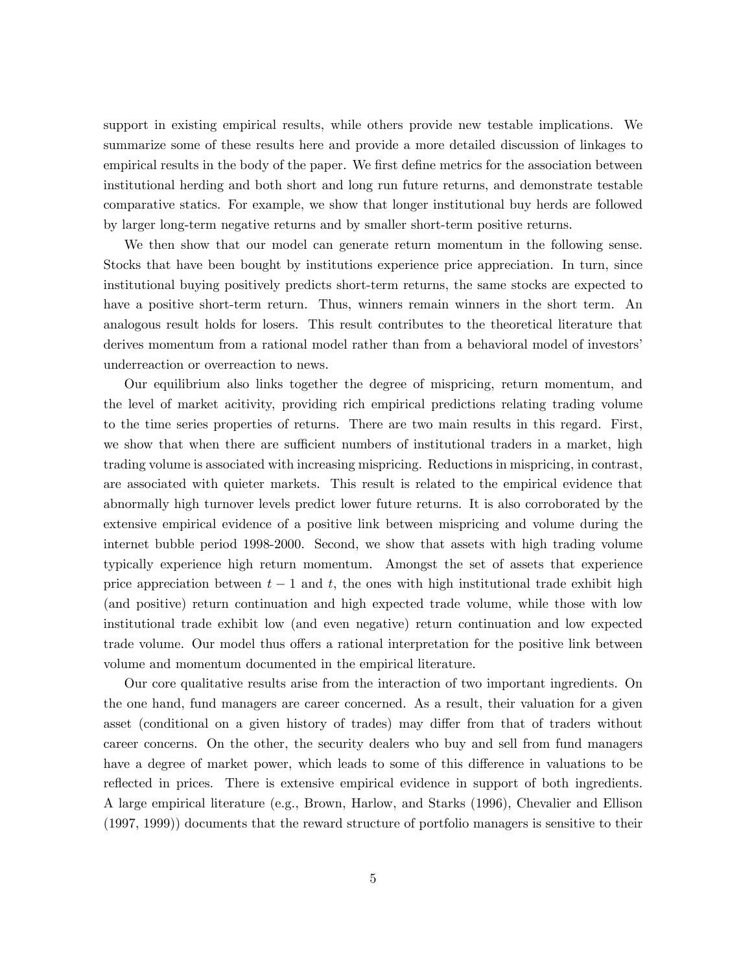support in existing empirical results, while others provide new testable implications. We summarize some of these results here and provide a more detailed discussion of linkages to empirical results in the body of the paper. We first define metrics for the association between institutional herding and both short and long run future returns, and demonstrate testable comparative statics. For example, we show that longer institutional buy herds are followed by larger long-term negative returns and by smaller short-term positive returns.

We then show that our model can generate return momentum in the following sense. Stocks that have been bought by institutions experience price appreciation. In turn, since institutional buying positively predicts short-term returns, the same stocks are expected to have a positive short-term return. Thus, winners remain winners in the short term. An analogous result holds for losers. This result contributes to the theoretical literature that derives momentum from a rational model rather than from a behavioral model of investors' underreaction or overreaction to news.

Our equilibrium also links together the degree of mispricing, return momentum, and the level of market acitivity, providing rich empirical predictions relating trading volume to the time series properties of returns. There are two main results in this regard. First, we show that when there are sufficient numbers of institutional traders in a market, high trading volume is associated with increasing mispricing. Reductions in mispricing, in contrast, are associated with quieter markets. This result is related to the empirical evidence that abnormally high turnover levels predict lower future returns. It is also corroborated by the extensive empirical evidence of a positive link between mispricing and volume during the internet bubble period 1998-2000. Second, we show that assets with high trading volume typically experience high return momentum. Amongst the set of assets that experience price appreciation between  $t - 1$  and t, the ones with high institutional trade exhibit high (and positive) return continuation and high expected trade volume, while those with low institutional trade exhibit low (and even negative) return continuation and low expected trade volume. Our model thus offers a rational interpretation for the positive link between volume and momentum documented in the empirical literature.

Our core qualitative results arise from the interaction of two important ingredients. On the one hand, fund managers are career concerned. As a result, their valuation for a given asset (conditional on a given history of trades) may differ from that of traders without career concerns. On the other, the security dealers who buy and sell from fund managers have a degree of market power, which leads to some of this difference in valuations to be reflected in prices. There is extensive empirical evidence in support of both ingredients. A large empirical literature (e.g., Brown, Harlow, and Starks (1996), Chevalier and Ellison (1997, 1999)) documents that the reward structure of portfolio managers is sensitive to their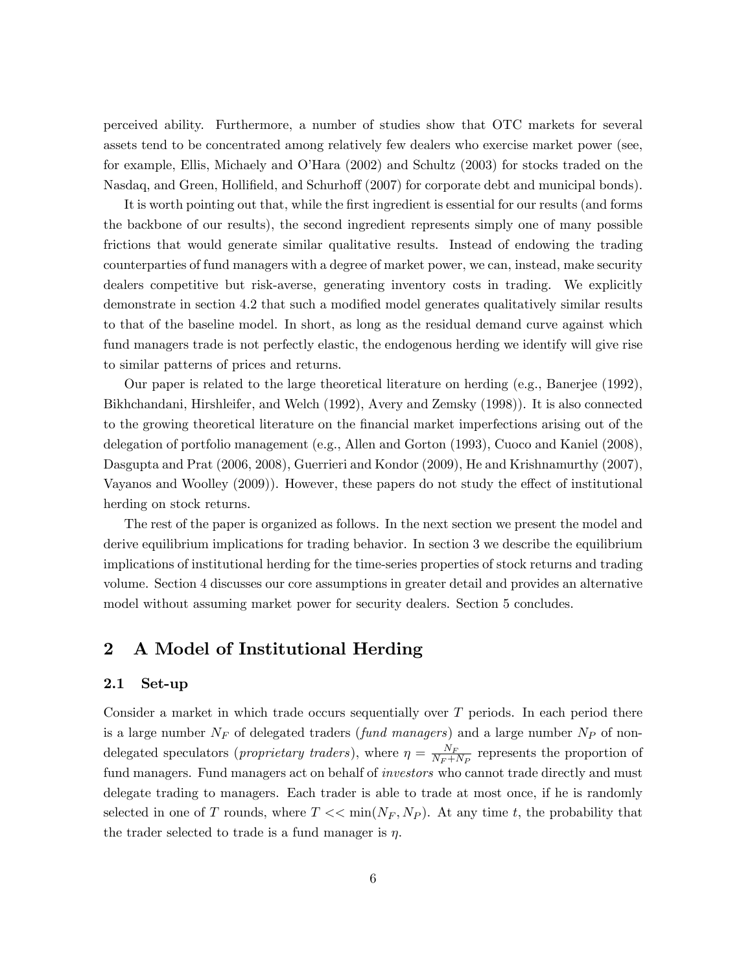perceived ability. Furthermore, a number of studies show that OTC markets for several assets tend to be concentrated among relatively few dealers who exercise market power (see, for example, Ellis, Michaely and OíHara (2002) and Schultz (2003) for stocks traded on the Nasdaq, and Green, Hollifield, and Schurhoff (2007) for corporate debt and municipal bonds).

It is worth pointing out that, while the first ingredient is essential for our results (and forms the backbone of our results), the second ingredient represents simply one of many possible frictions that would generate similar qualitative results. Instead of endowing the trading counterparties of fund managers with a degree of market power, we can, instead, make security dealers competitive but risk-averse, generating inventory costs in trading. We explicitly demonstrate in section 4.2 that such a modified model generates qualitatively similar results to that of the baseline model. In short, as long as the residual demand curve against which fund managers trade is not perfectly elastic, the endogenous herding we identify will give rise to similar patterns of prices and returns.

Our paper is related to the large theoretical literature on herding (e.g., Banerjee (1992), Bikhchandani, Hirshleifer, and Welch (1992), Avery and Zemsky (1998)). It is also connected to the growing theoretical literature on the Önancial market imperfections arising out of the delegation of portfolio management (e.g., Allen and Gorton (1993), Cuoco and Kaniel (2008), Dasgupta and Prat (2006, 2008), Guerrieri and Kondor (2009), He and Krishnamurthy (2007), Vayanos and Woolley (2009)). However, these papers do not study the effect of institutional herding on stock returns.

The rest of the paper is organized as follows. In the next section we present the model and derive equilibrium implications for trading behavior. In section 3 we describe the equilibrium implications of institutional herding for the time-series properties of stock returns and trading volume. Section 4 discusses our core assumptions in greater detail and provides an alternative model without assuming market power for security dealers. Section 5 concludes.

## 2 A Model of Institutional Herding

#### 2.1 Set-up

Consider a market in which trade occurs sequentially over  $T$  periods. In each period there is a large number  $N_F$  of delegated traders (fund managers) and a large number  $N_P$  of nondelegated speculators (*proprietary traders*), where  $\eta = \frac{N_F}{N_B + N_F}$  $\frac{N_F}{N_F + N_P}$  represents the proportion of fund managers. Fund managers act on behalf of investors who cannot trade directly and must delegate trading to managers. Each trader is able to trade at most once, if he is randomly selected in one of T rounds, where  $T \ll \min(N_F, N_P)$ . At any time t, the probability that the trader selected to trade is a fund manager is  $\eta$ .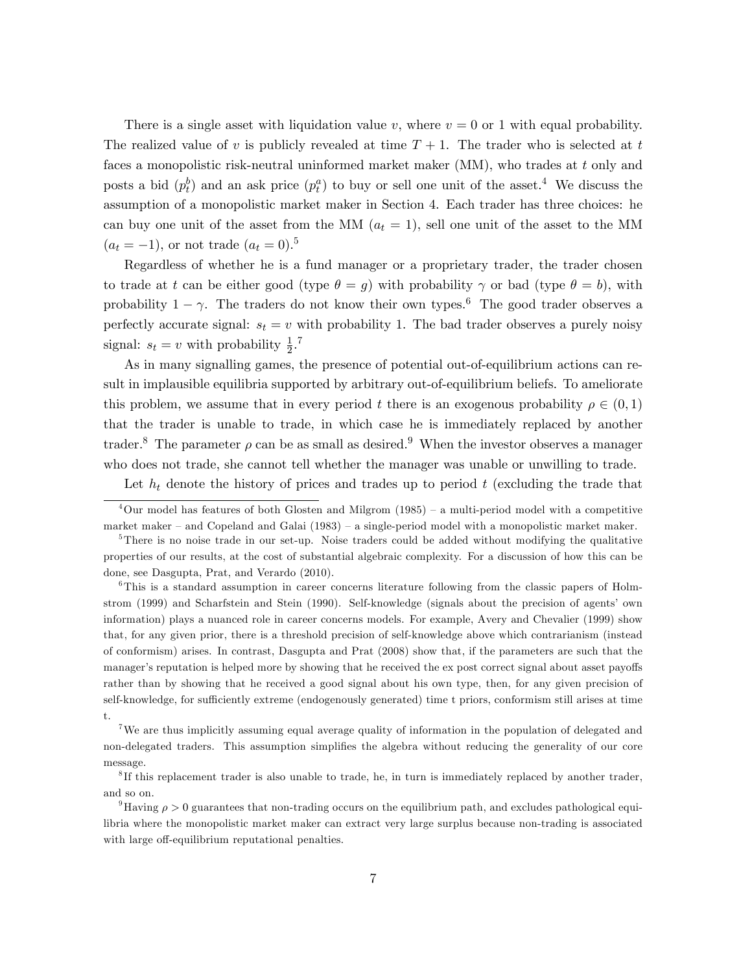There is a single asset with liquidation value v, where  $v = 0$  or 1 with equal probability. The realized value of v is publicly revealed at time  $T + 1$ . The trader who is selected at t faces a monopolistic risk-neutral uninformed market maker (MM), who trades at t only and posts a bid  $(p_t^b)$  and an ask price  $(p_t^a)$  to buy or sell one unit of the asset.<sup>4</sup> We discuss the assumption of a monopolistic market maker in Section 4. Each trader has three choices: he can buy one unit of the asset from the MM  $(a_t = 1)$ , sell one unit of the asset to the MM  $(a_t = -1)$ , or not trade  $(a_t = 0)^{5}$ 

Regardless of whether he is a fund manager or a proprietary trader, the trader chosen to trade at t can be either good (type  $\theta = q$ ) with probability  $\gamma$  or bad (type  $\theta = b$ ), with probability  $1 - \gamma$ . The traders do not know their own types.<sup>6</sup> The good trader observes a perfectly accurate signal:  $s_t = v$  with probability 1. The bad trader observes a purely noisy signal:  $s_t = v$  with probability  $\frac{1}{2}$ .<sup>7</sup>

As in many signalling games, the presence of potential out-of-equilibrium actions can result in implausible equilibria supported by arbitrary out-of-equilibrium beliefs. To ameliorate this problem, we assume that in every period t there is an exogenous probability  $\rho \in (0,1)$ that the trader is unable to trade, in which case he is immediately replaced by another trader.<sup>8</sup> The parameter  $\rho$  can be as small as desired.<sup>9</sup> When the investor observes a manager who does not trade, she cannot tell whether the manager was unable or unwilling to trade.

Let  $h_t$  denote the history of prices and trades up to period t (excluding the trade that

 $4$ Our model has features of both Glosten and Milgrom (1985) – a multi-period model with a competitive market maker – and Copeland and Galai  $(1983)$  – a single-period model with a monopolistic market maker.

<sup>&</sup>lt;sup>5</sup>There is no noise trade in our set-up. Noise traders could be added without modifying the qualitative properties of our results, at the cost of substantial algebraic complexity. For a discussion of how this can be done, see Dasgupta, Prat, and Verardo (2010).

<sup>&</sup>lt;sup>6</sup>This is a standard assumption in career concerns literature following from the classic papers of Holmstrom (1999) and Scharfstein and Stein (1990). Self-knowledge (signals about the precision of agentsí own information) plays a nuanced role in career concerns models. For example, Avery and Chevalier (1999) show that, for any given prior, there is a threshold precision of self-knowledge above which contrarianism (instead of conformism) arises. In contrast, Dasgupta and Prat (2008) show that, if the parameters are such that the manager's reputation is helped more by showing that he received the ex post correct signal about asset payoffs rather than by showing that he received a good signal about his own type, then, for any given precision of self-knowledge, for sufficiently extreme (endogenously generated) time t priors, conformism still arises at time t.

<sup>&</sup>lt;sup>7</sup>We are thus implicitly assuming equal average quality of information in the population of delegated and non-delegated traders. This assumption simplifies the algebra without reducing the generality of our core message.

<sup>&</sup>lt;sup>8</sup>If this replacement trader is also unable to trade, he, in turn is immediately replaced by another trader, and so on.

<sup>&</sup>lt;sup>9</sup>Having  $\rho > 0$  guarantees that non-trading occurs on the equilibrium path, and excludes pathological equilibria where the monopolistic market maker can extract very large surplus because non-trading is associated with large off-equilibrium reputational penalties.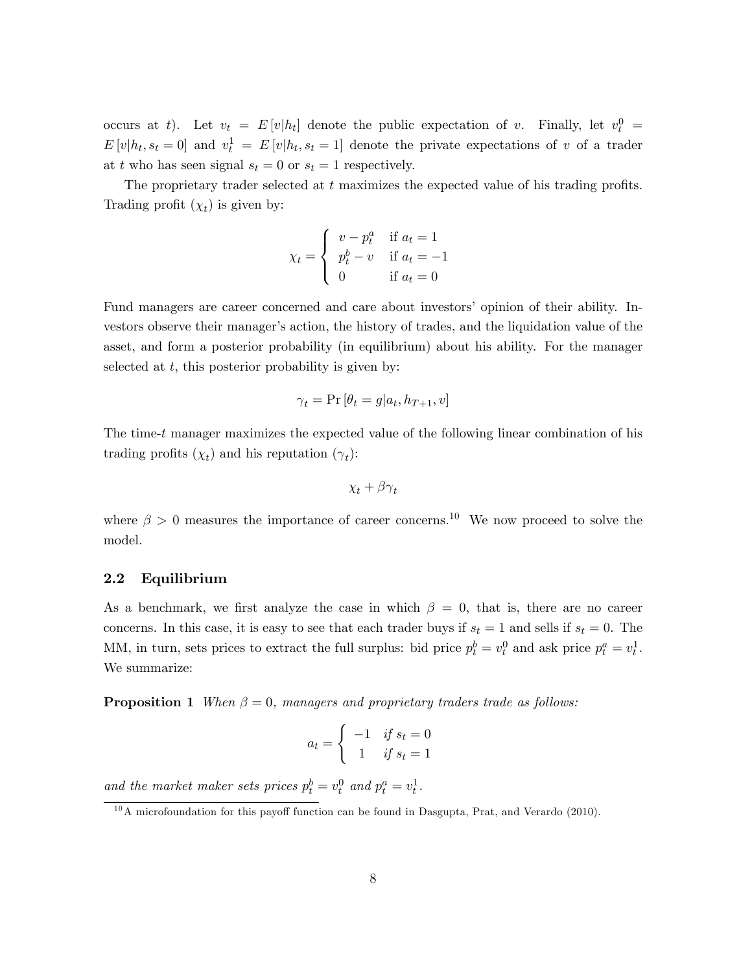occurs at t). Let  $v_t = E[v|h_t]$  denote the public expectation of v. Finally, let  $v_t^0 =$  $E[v|h_t, s_t = 0]$  and  $v_t^1 = E[v|h_t, s_t = 1]$  denote the private expectations of v of a trader at t who has seen signal  $s_t = 0$  or  $s_t = 1$  respectively.

The proprietary trader selected at  $t$  maximizes the expected value of his trading profits. Trading profit  $(\chi_t)$  is given by:

$$
\chi_t = \begin{cases} v - p_t^a & \text{if } a_t = 1 \\ p_t^b - v & \text{if } a_t = -1 \\ 0 & \text{if } a_t = 0 \end{cases}
$$

Fund managers are career concerned and care about investors' opinion of their ability. Investors observe their manager's action, the history of trades, and the liquidation value of the asset, and form a posterior probability (in equilibrium) about his ability. For the manager selected at  $t$ , this posterior probability is given by:

$$
\gamma_t = \Pr\left[\theta_t = g|a_t, h_{T+1}, v\right]
$$

The time-t manager maximizes the expected value of the following linear combination of his trading profits  $(\chi_t)$  and his reputation  $(\gamma_t)$ :

$$
\chi_t + \beta \gamma_t
$$

where  $\beta > 0$  measures the importance of career concerns.<sup>10</sup> We now proceed to solve the model.

### 2.2 Equilibrium

As a benchmark, we first analyze the case in which  $\beta = 0$ , that is, there are no career concerns. In this case, it is easy to see that each trader buys if  $s_t = 1$  and sells if  $s_t = 0$ . The MM, in turn, sets prices to extract the full surplus: bid price  $p_t^b = v_t^0$  and ask price  $p_t^a = v_t^1$ . We summarize:

**Proposition 1** When  $\beta = 0$ , managers and proprietary traders trade as follows:

$$
a_t = \begin{cases} \n-1 & \text{if } s_t = 0 \\ \n1 & \text{if } s_t = 1 \n\end{cases}
$$

and the market maker sets prices  $p_t^b = v_t^0$  and  $p_t^a = v_t^1$ .

 $10$ A microfoundation for this payoff function can be found in Dasgupta, Prat, and Verardo (2010).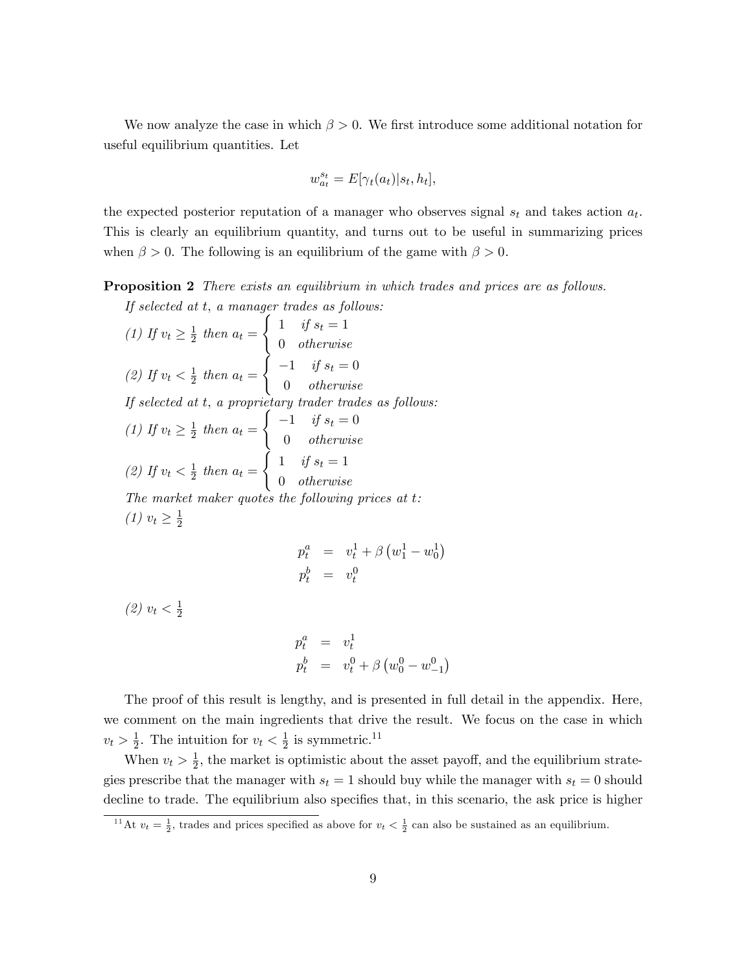We now analyze the case in which  $\beta > 0$ . We first introduce some additional notation for useful equilibrium quantities. Let

$$
w_{a_t}^{s_t} = E[\gamma_t(a_t)|s_t, h_t],
$$

the expected posterior reputation of a manager who observes signal  $s_t$  and takes action  $a_t$ . This is clearly an equilibrium quantity, and turns out to be useful in summarizing prices when  $\beta > 0$ . The following is an equilibrium of the game with  $\beta > 0$ .

Proposition 2 There exists an equilibrium in which trades and prices are as follows. If selected at t; a manager trades as follows:

\n
$$
If \, v_t \geq \frac{1}{2} \, then \, a_t =\n \begin{cases}\n 1 & \text{if } s_t = 1 \\
 0 & \text{otherwise}\n \end{cases}
$$
\n

\n\n
$$
(2) \, If \, v_t < \frac{1}{2} \, then \, a_t =\n \begin{cases}\n -1 & \text{if } s_t = 0 \\
 0 & \text{otherwise}\n \end{cases}
$$
\n

\n\n
$$
If \, selected \, at \, t, \, a \, proprietary \, trade \, as \, follows:\n
$$

\n\n
$$
(1) \, If \, v_t \geq \frac{1}{2} \, then \, a_t =\n \begin{cases}\n -1 & \text{if } s_t = 0 \\
 0 & \text{otherwise}\n \end{cases}
$$
\n

\n\n
$$
(2) \, If \, v_t < \frac{1}{2} \, then \, a_t =\n \begin{cases}\n 1 & \text{if } s_t = 1 \\
 0 & \text{otherwise}\n \end{cases}
$$
\n

\n\n
$$
The \, market \, maker \, quotes \, the \, following \, prices \, at \, t:\n
$$
\n

\n\n
$$
(1) \, v_t \geq \frac{1}{2}
$$
\n

$$
p_t^a = v_t^1 + \beta (w_1^1 - w_0^1)
$$
  

$$
p_t^b = v_t^0
$$

(2)  $v_t < \frac{1}{2}$  $\overline{2}$ 

$$
p_t^a = v_t^1
$$
  
\n
$$
p_t^b = v_t^0 + \beta (w_0^0 - w_{-1}^0)
$$

The proof of this result is lengthy, and is presented in full detail in the appendix. Here, we comment on the main ingredients that drive the result. We focus on the case in which  $v_t > \frac{1}{2}$  $\frac{1}{2}$ . The intuition for  $v_t < \frac{1}{2}$  $\frac{1}{2}$  is symmetric.<sup>11</sup>

When  $v_t > \frac{1}{2}$  $\frac{1}{2}$ , the market is optimistic about the asset payoff, and the equilibrium strategies prescribe that the manager with  $s_t = 1$  should buy while the manager with  $s_t = 0$  should decline to trade. The equilibrium also specifies that, in this scenario, the ask price is higher

<sup>&</sup>lt;sup>11</sup>At  $v_t = \frac{1}{2}$ , trades and prices specified as above for  $v_t < \frac{1}{2}$  can also be sustained as an equilibrium.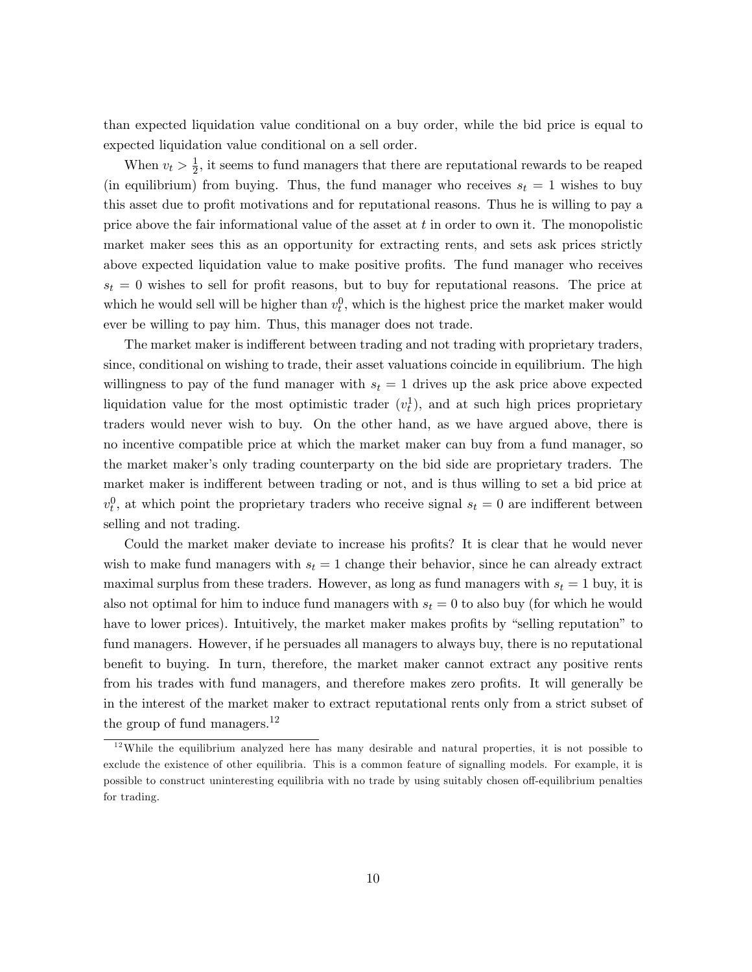than expected liquidation value conditional on a buy order, while the bid price is equal to expected liquidation value conditional on a sell order.

When  $v_t > \frac{1}{2}$  $\frac{1}{2}$ , it seems to fund managers that there are reputational rewards to be reaped (in equilibrium) from buying. Thus, the fund manager who receives  $s_t = 1$  wishes to buy this asset due to profit motivations and for reputational reasons. Thus he is willing to pay a price above the fair informational value of the asset at  $t$  in order to own it. The monopolistic market maker sees this as an opportunity for extracting rents, and sets ask prices strictly above expected liquidation value to make positive profits. The fund manager who receives  $s_t = 0$  wishes to sell for profit reasons, but to buy for reputational reasons. The price at which he would sell will be higher than  $v_t^0$ , which is the highest price the market maker would ever be willing to pay him. Thus, this manager does not trade.

The market maker is indifferent between trading and not trading with proprietary traders, since, conditional on wishing to trade, their asset valuations coincide in equilibrium. The high willingness to pay of the fund manager with  $s_t = 1$  drives up the ask price above expected liquidation value for the most optimistic trader  $(v_t^1)$ , and at such high prices proprietary traders would never wish to buy. On the other hand, as we have argued above, there is no incentive compatible price at which the market maker can buy from a fund manager, so the market makerís only trading counterparty on the bid side are proprietary traders. The market maker is indifferent between trading or not, and is thus willing to set a bid price at  $v_t^0$ , at which point the proprietary traders who receive signal  $s_t = 0$  are indifferent between selling and not trading.

Could the market maker deviate to increase his profits? It is clear that he would never wish to make fund managers with  $s_t = 1$  change their behavior, since he can already extract maximal surplus from these traders. However, as long as fund managers with  $s_t = 1$  buy, it is also not optimal for him to induce fund managers with  $s_t = 0$  to also buy (for which he would have to lower prices). Intuitively, the market maker makes profits by "selling reputation" to fund managers. However, if he persuades all managers to always buy, there is no reputational benefit to buying. In turn, therefore, the market maker cannot extract any positive rents from his trades with fund managers, and therefore makes zero profits. It will generally be in the interest of the market maker to extract reputational rents only from a strict subset of the group of fund managers.<sup>12</sup>

 $12$ While the equilibrium analyzed here has many desirable and natural properties, it is not possible to exclude the existence of other equilibria. This is a common feature of signalling models. For example, it is possible to construct uninteresting equilibria with no trade by using suitably chosen off-equilibrium penalties for trading.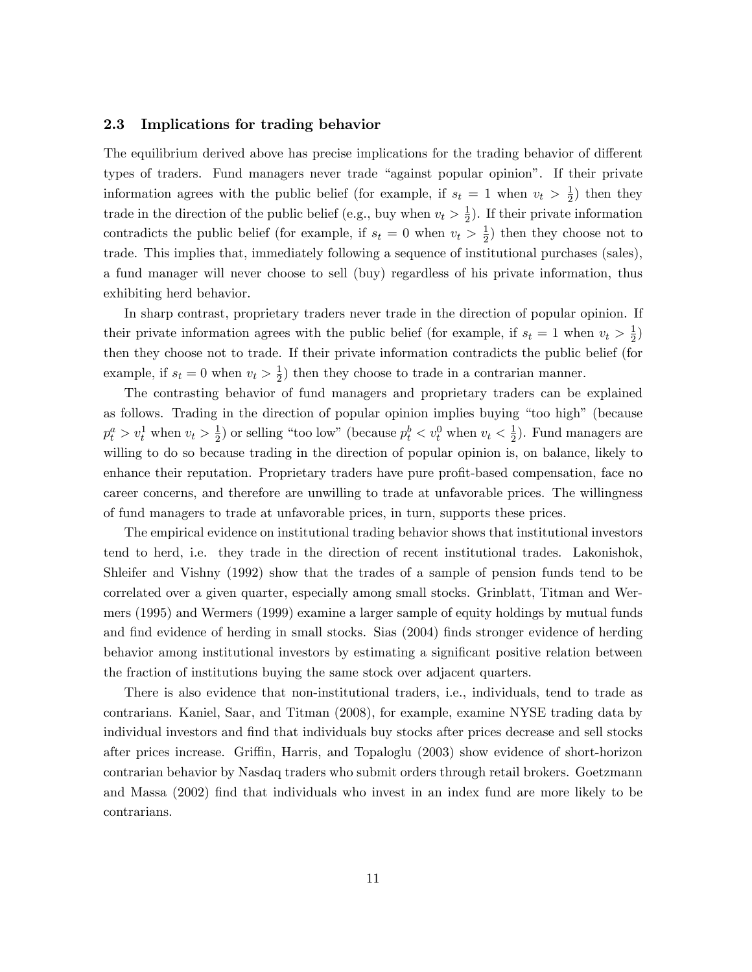#### 2.3 Implications for trading behavior

The equilibrium derived above has precise implications for the trading behavior of different types of traders. Fund managers never trade "against popular opinion". If their private information agrees with the public belief (for example, if  $s_t = 1$  when  $v_t > \frac{1}{2}$  $(\frac{1}{2})$  then they trade in the direction of the public belief (e.g., buy when  $v_t > \frac{1}{2}$ )  $(\frac{1}{2})$ . If their private information contradicts the public belief (for example, if  $s_t = 0$  when  $v_t > \frac{1}{2}$  $(\frac{1}{2})$  then they choose not to trade. This implies that, immediately following a sequence of institutional purchases (sales), a fund manager will never choose to sell (buy) regardless of his private information, thus exhibiting herd behavior.

In sharp contrast, proprietary traders never trade in the direction of popular opinion. If their private information agrees with the public belief (for example, if  $s_t = 1$  when  $v_t > \frac{1}{2}$ )  $\frac{1}{2})$ then they choose not to trade. If their private information contradicts the public belief (for example, if  $s_t = 0$  when  $v_t > \frac{1}{2}$  $\frac{1}{2}$ ) then they choose to trade in a contrarian manner.

The contrasting behavior of fund managers and proprietary traders can be explained as follows. Trading in the direction of popular opinion implies buying "too high" (because  $p_t^a > v_t^1$  when  $v_t > \frac{1}{2}$  $\frac{1}{2}$ ) or selling "too low" (because  $p_t^b < v_t^0$  when  $v_t < \frac{1}{2}$  $(\frac{1}{2})$ . Fund managers are willing to do so because trading in the direction of popular opinion is, on balance, likely to enhance their reputation. Proprietary traders have pure profit-based compensation, face no career concerns, and therefore are unwilling to trade at unfavorable prices. The willingness of fund managers to trade at unfavorable prices, in turn, supports these prices.

The empirical evidence on institutional trading behavior shows that institutional investors tend to herd, i.e. they trade in the direction of recent institutional trades. Lakonishok, Shleifer and Vishny (1992) show that the trades of a sample of pension funds tend to be correlated over a given quarter, especially among small stocks. Grinblatt, Titman and Wermers (1995) and Wermers (1999) examine a larger sample of equity holdings by mutual funds and find evidence of herding in small stocks. Sias (2004) finds stronger evidence of herding behavior among institutional investors by estimating a significant positive relation between the fraction of institutions buying the same stock over adjacent quarters.

There is also evidence that non-institutional traders, i.e., individuals, tend to trade as contrarians. Kaniel, Saar, and Titman (2008), for example, examine NYSE trading data by individual investors and find that individuals buy stocks after prices decrease and sell stocks after prices increase. Griffin, Harris, and Topaloglu (2003) show evidence of short-horizon contrarian behavior by Nasdaq traders who submit orders through retail brokers. Goetzmann and Massa (2002) find that individuals who invest in an index fund are more likely to be contrarians.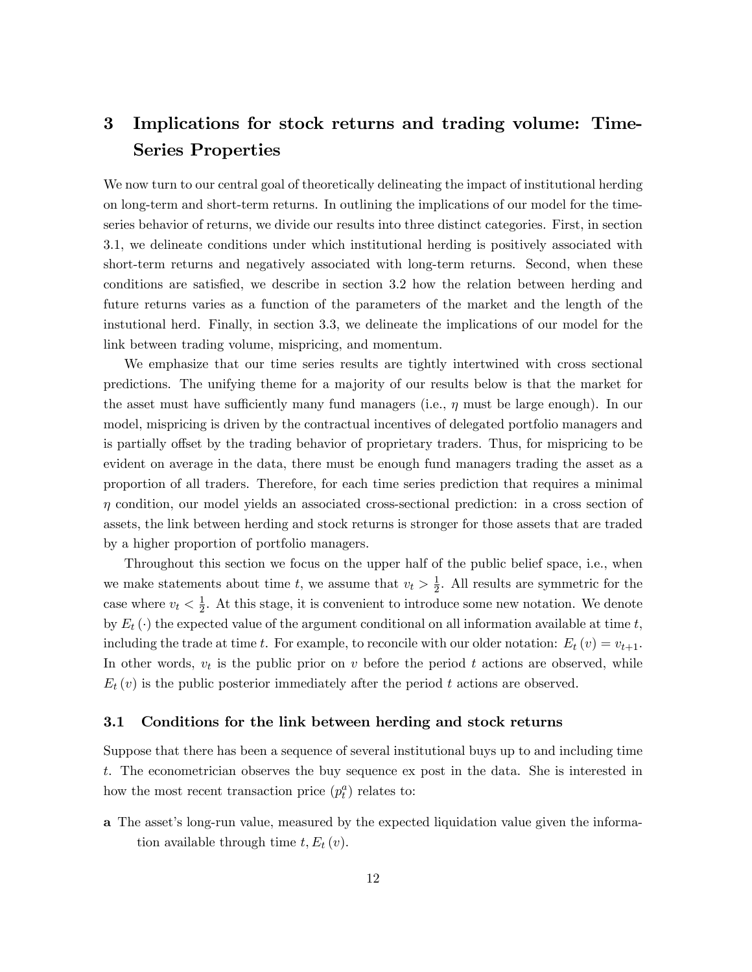# 3 Implications for stock returns and trading volume: Time-Series Properties

We now turn to our central goal of theoretically delineating the impact of institutional herding on long-term and short-term returns. In outlining the implications of our model for the timeseries behavior of returns, we divide our results into three distinct categories. First, in section 3.1, we delineate conditions under which institutional herding is positively associated with short-term returns and negatively associated with long-term returns. Second, when these conditions are satisfied, we describe in section 3.2 how the relation between herding and future returns varies as a function of the parameters of the market and the length of the instutional herd. Finally, in section 3.3, we delineate the implications of our model for the link between trading volume, mispricing, and momentum.

We emphasize that our time series results are tightly intertwined with cross sectional predictions. The unifying theme for a majority of our results below is that the market for the asset must have sufficiently many fund managers (i.e.,  $\eta$  must be large enough). In our model, mispricing is driven by the contractual incentives of delegated portfolio managers and is partially offset by the trading behavior of proprietary traders. Thus, for mispricing to be evident on average in the data, there must be enough fund managers trading the asset as a proportion of all traders. Therefore, for each time series prediction that requires a minimal  $\eta$  condition, our model yields an associated cross-sectional prediction: in a cross section of assets, the link between herding and stock returns is stronger for those assets that are traded by a higher proportion of portfolio managers.

Throughout this section we focus on the upper half of the public belief space, i.e., when we make statements about time t, we assume that  $v_t > \frac{1}{2}$  $\frac{1}{2}$ . All results are symmetric for the case where  $v_t < \frac{1}{2}$  $\frac{1}{2}$ . At this stage, it is convenient to introduce some new notation. We denote by  $E_t(\cdot)$  the expected value of the argument conditional on all information available at time t, including the trade at time t. For example, to reconcile with our older notation:  $E_t(v) = v_{t+1}$ . In other words,  $v_t$  is the public prior on v before the period t actions are observed, while  $E_t(v)$  is the public posterior immediately after the period t actions are observed.

### 3.1 Conditions for the link between herding and stock returns

Suppose that there has been a sequence of several institutional buys up to and including time t. The econometrician observes the buy sequence ex post in the data. She is interested in how the most recent transaction price  $(p_t^a)$  relates to:

a The asset's long-run value, measured by the expected liquidation value given the information available through time  $t, E_t (v)$ .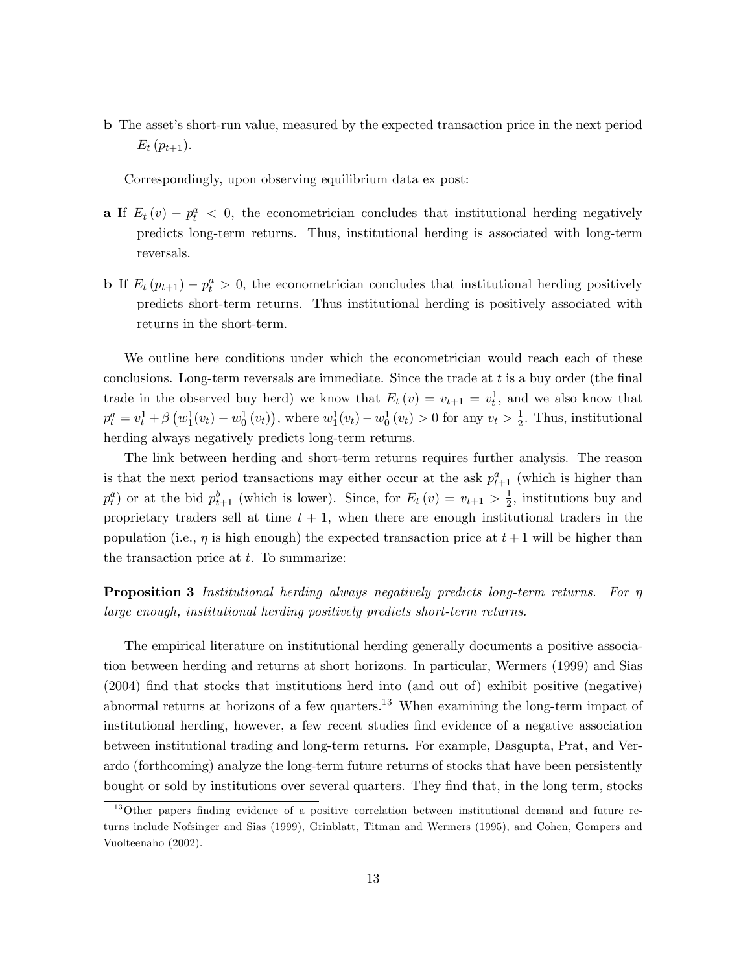b The asset's short-run value, measured by the expected transaction price in the next period  $E_t(p_{t+1}).$ 

Correspondingly, upon observing equilibrium data ex post:

- **a** If  $E_t(v) p_t^a < 0$ , the econometrician concludes that institutional herding negatively predicts long-term returns. Thus, institutional herding is associated with long-term reversals.
- **b** If  $E_t(p_{t+1}) p_t^a > 0$ , the econometrician concludes that institutional herding positively predicts short-term returns. Thus institutional herding is positively associated with returns in the short-term.

We outline here conditions under which the econometrician would reach each of these conclusions. Long-term reversals are immediate. Since the trade at  $t$  is a buy order (the final trade in the observed buy herd) we know that  $E_t(v) = v_{t+1} = v_t^1$ , and we also know that  $p_t^a = v_t^1 + \beta \left( w_1^1(v_t) - w_0^1(v_t) \right)$ , where  $w_1^1(v_t) - w_0^1(v_t) > 0$  for any  $v_t > \frac{1}{2}$  $\frac{1}{2}$ . Thus, institutional herding always negatively predicts long-term returns.

The link between herding and short-term returns requires further analysis. The reason is that the next period transactions may either occur at the ask  $p_{t+1}^a$  (which is higher than  $p_t^a$ ) or at the bid  $p_{t+1}^b$  (which is lower). Since, for  $E_t(v) = v_{t+1} > \frac{1}{2}$  $\frac{1}{2}$ , institutions buy and proprietary traders sell at time  $t + 1$ , when there are enough institutional traders in the population (i.e.,  $\eta$  is high enough) the expected transaction price at  $t+1$  will be higher than the transaction price at  $t$ . To summarize:

**Proposition 3** Institutional herding always negatively predicts long-term returns. For  $\eta$ large enough, institutional herding positively predicts short-term returns.

The empirical literature on institutional herding generally documents a positive association between herding and returns at short horizons. In particular, Wermers (1999) and Sias  $(2004)$  find that stocks that institutions herd into (and out of) exhibit positive (negative) abnormal returns at horizons of a few quarters. $13$  When examining the long-term impact of institutional herding, however, a few recent studies find evidence of a negative association between institutional trading and long-term returns. For example, Dasgupta, Prat, and Verardo (forthcoming) analyze the long-term future returns of stocks that have been persistently bought or sold by institutions over several quarters. They find that, in the long term, stocks

 $13$ Other papers finding evidence of a positive correlation between institutional demand and future returns include Nofsinger and Sias (1999), Grinblatt, Titman and Wermers (1995), and Cohen, Gompers and Vuolteenaho (2002).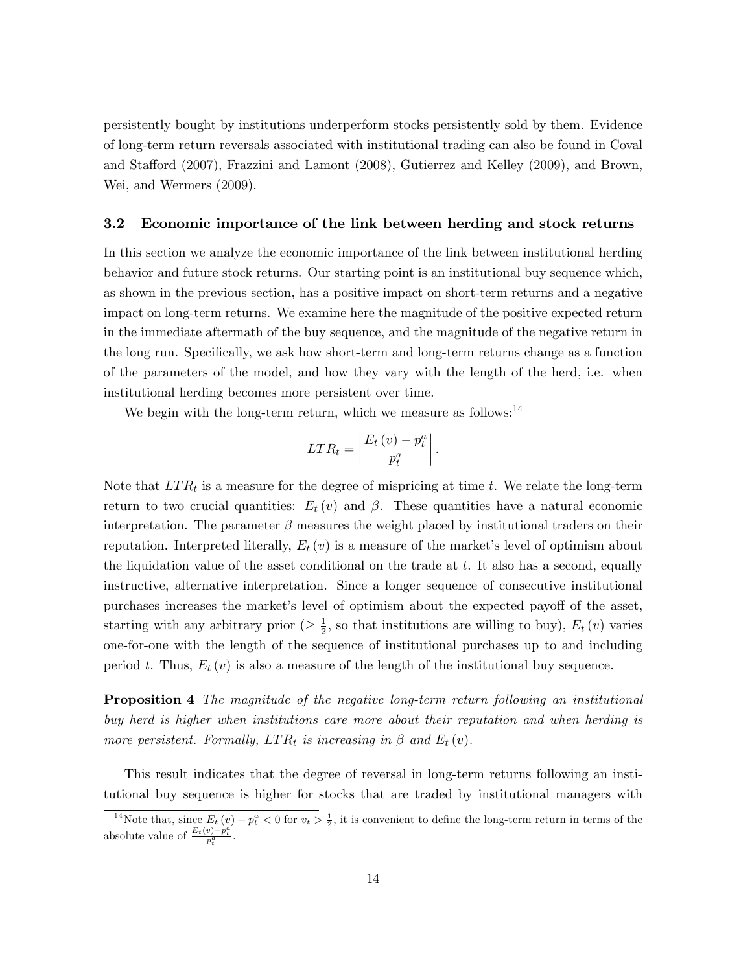persistently bought by institutions underperform stocks persistently sold by them. Evidence of long-term return reversals associated with institutional trading can also be found in Coval and Stafford (2007), Frazzini and Lamont (2008), Gutierrez and Kelley (2009), and Brown, Wei, and Wermers (2009).

#### 3.2 Economic importance of the link between herding and stock returns

In this section we analyze the economic importance of the link between institutional herding behavior and future stock returns. Our starting point is an institutional buy sequence which, as shown in the previous section, has a positive impact on short-term returns and a negative impact on long-term returns. We examine here the magnitude of the positive expected return in the immediate aftermath of the buy sequence, and the magnitude of the negative return in the long run. Specifically, we ask how short-term and long-term returns change as a function of the parameters of the model, and how they vary with the length of the herd, i.e. when institutional herding becomes more persistent over time.

We begin with the long-term return, which we measure as follows:  $14$ 

$$
LTR_t = \left| \frac{E_t(v) - p_t^a}{p_t^a} \right|.
$$

Note that  $LTR_t$  is a measure for the degree of mispricing at time t. We relate the long-term return to two crucial quantities:  $E_t(v)$  and  $\beta$ . These quantities have a natural economic interpretation. The parameter  $\beta$  measures the weight placed by institutional traders on their reputation. Interpreted literally,  $E_t(v)$  is a measure of the market's level of optimism about the liquidation value of the asset conditional on the trade at  $t$ . It also has a second, equally instructive, alternative interpretation. Since a longer sequence of consecutive institutional purchases increases the market's level of optimism about the expected payoff of the asset, starting with any arbitrary prior  $(\geq \frac{1}{2})$  $\frac{1}{2}$ , so that institutions are willing to buy),  $E_t(v)$  varies one-for-one with the length of the sequence of institutional purchases up to and including period t. Thus,  $E_t(v)$  is also a measure of the length of the institutional buy sequence.

Proposition 4 The magnitude of the negative long-term return following an institutional buy herd is higher when institutions care more about their reputation and when herding is more persistent. Formally,  $LTR_t$  is increasing in  $\beta$  and  $E_t(v)$ .

This result indicates that the degree of reversal in long-term returns following an institutional buy sequence is higher for stocks that are traded by institutional managers with

<sup>&</sup>lt;sup>14</sup>Note that, since  $E_t(v) - p_t^a < 0$  for  $v_t > \frac{1}{2}$ , it is convenient to define the long-term return in terms of the absolute value of  $\frac{E_t(v) - p_t^a}{p_t^a}$ .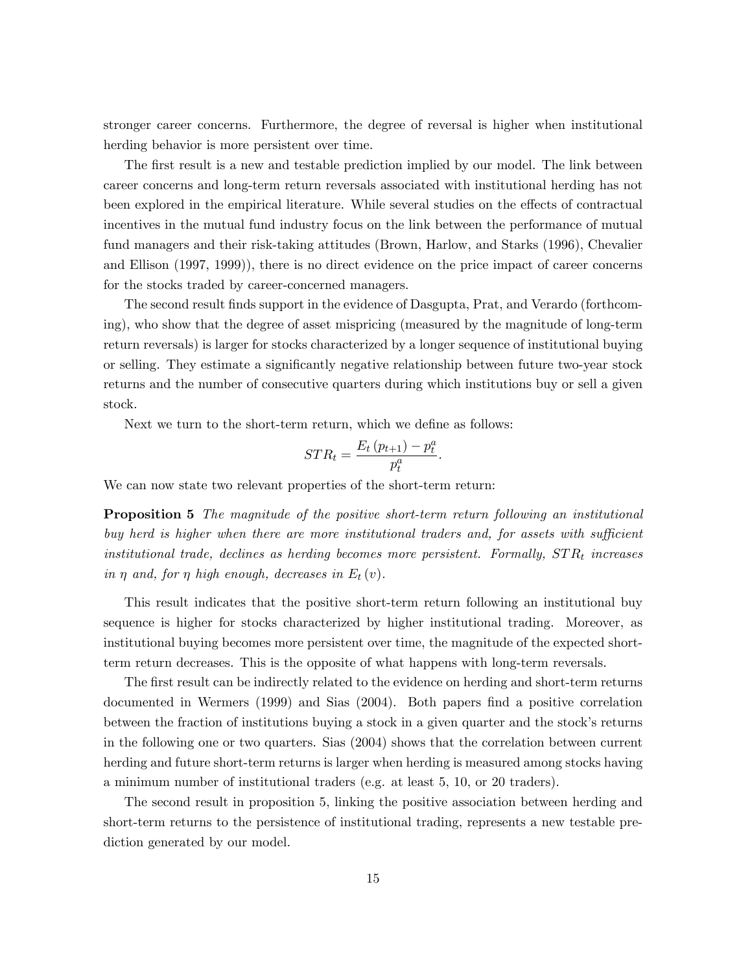stronger career concerns. Furthermore, the degree of reversal is higher when institutional herding behavior is more persistent over time.

The first result is a new and testable prediction implied by our model. The link between career concerns and long-term return reversals associated with institutional herding has not been explored in the empirical literature. While several studies on the effects of contractual incentives in the mutual fund industry focus on the link between the performance of mutual fund managers and their risk-taking attitudes (Brown, Harlow, and Starks (1996), Chevalier and Ellison (1997, 1999)), there is no direct evidence on the price impact of career concerns for the stocks traded by career-concerned managers.

The second result Önds support in the evidence of Dasgupta, Prat, and Verardo (forthcoming), who show that the degree of asset mispricing (measured by the magnitude of long-term return reversals) is larger for stocks characterized by a longer sequence of institutional buying or selling. They estimate a significantly negative relationship between future two-year stock returns and the number of consecutive quarters during which institutions buy or sell a given stock.

Next we turn to the short-term return, which we define as follows:

$$
STR_t = \frac{E_t (p_{t+1}) - p_t^a}{p_t^a}.
$$

We can now state two relevant properties of the short-term return:

Proposition 5 The magnitude of the positive short-term return following an institutional buy herd is higher when there are more institutional traders and, for assets with sufficient institutional trade, declines as herding becomes more persistent. Formally,  $STR<sub>t</sub>$  increases in  $\eta$  and, for  $\eta$  high enough, decreases in  $E_t(v)$ .

This result indicates that the positive short-term return following an institutional buy sequence is higher for stocks characterized by higher institutional trading. Moreover, as institutional buying becomes more persistent over time, the magnitude of the expected shortterm return decreases. This is the opposite of what happens with long-term reversals.

The first result can be indirectly related to the evidence on herding and short-term returns documented in Wermers (1999) and Sias (2004). Both papers find a positive correlation between the fraction of institutions buying a stock in a given quarter and the stock's returns in the following one or two quarters. Sias (2004) shows that the correlation between current herding and future short-term returns is larger when herding is measured among stocks having a minimum number of institutional traders (e.g. at least 5, 10, or 20 traders).

The second result in proposition 5, linking the positive association between herding and short-term returns to the persistence of institutional trading, represents a new testable prediction generated by our model.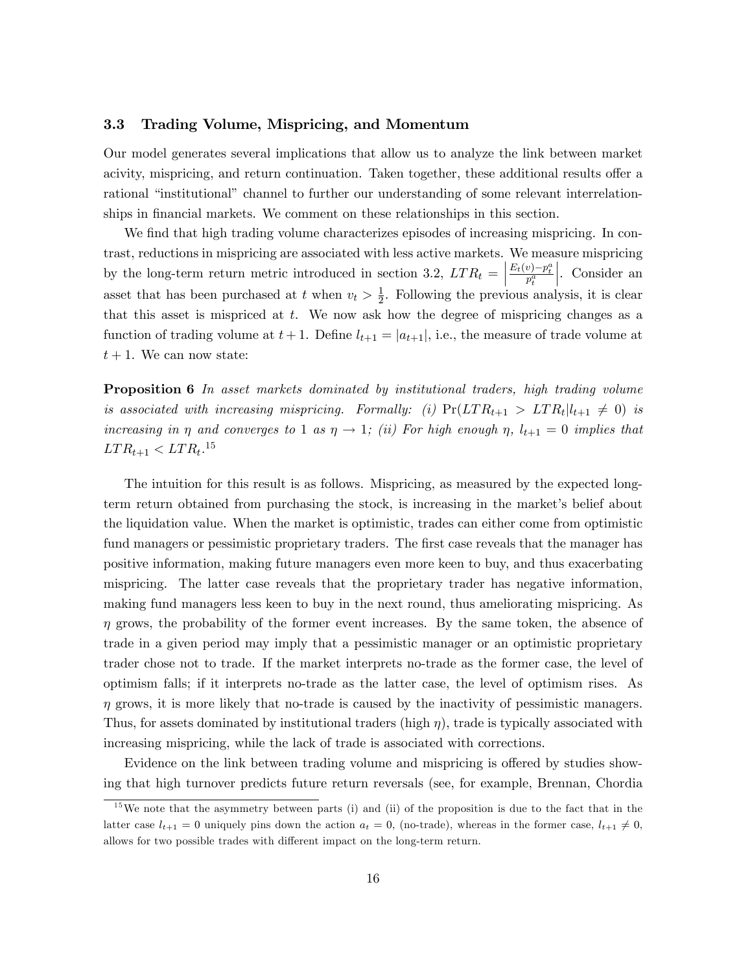#### 3.3 Trading Volume, Mispricing, and Momentum

Our model generates several implications that allow us to analyze the link between market acivity, mispricing, and return continuation. Taken together, these additional results offer a rational "institutional" channel to further our understanding of some relevant interrelationships in financial markets. We comment on these relationships in this section.

We find that high trading volume characterizes episodes of increasing mispricing. In contrast, reductions in mispricing are associated with less active markets. We measure mispricing by the long-term return metric introduced in section 3.2,  $LTR_t =$  $\frac{E_t(v)-p_t^a}{p_t^a}$    . Consider an asset that has been purchased at t when  $v_t > \frac{1}{2}$  $\frac{1}{2}$ . Following the previous analysis, it is clear that this asset is mispriced at  $t$ . We now ask how the degree of mispricing changes as a function of trading volume at  $t + 1$ . Define  $l_{t+1} = |a_{t+1}|$ , i.e., the measure of trade volume at  $t+1$ . We can now state:

**Proposition 6** In asset markets dominated by institutional traders, high trading volume is associated with increasing mispricing. Formally: (i)  $Pr(LTR_{t+1} > LTR_t | l_{t+1} \neq 0)$  is increasing in  $\eta$  and converges to 1 as  $\eta \to 1$ ; (ii) For high enough  $\eta$ ,  $l_{t+1} = 0$  implies that  $LTR_{t+1} < LTR_t.$ <sup>15</sup>

The intuition for this result is as follows. Mispricing, as measured by the expected longterm return obtained from purchasing the stock, is increasing in the market's belief about the liquidation value. When the market is optimistic, trades can either come from optimistic fund managers or pessimistic proprietary traders. The first case reveals that the manager has positive information, making future managers even more keen to buy, and thus exacerbating mispricing. The latter case reveals that the proprietary trader has negative information, making fund managers less keen to buy in the next round, thus ameliorating mispricing. As  $\eta$  grows, the probability of the former event increases. By the same token, the absence of trade in a given period may imply that a pessimistic manager or an optimistic proprietary trader chose not to trade. If the market interprets no-trade as the former case, the level of optimism falls; if it interprets no-trade as the latter case, the level of optimism rises. As  $\eta$  grows, it is more likely that no-trade is caused by the inactivity of pessimistic managers. Thus, for assets dominated by institutional traders (high  $\eta$ ), trade is typically associated with increasing mispricing, while the lack of trade is associated with corrections.

Evidence on the link between trading volume and mispricing is offered by studies showing that high turnover predicts future return reversals (see, for example, Brennan, Chordia

 $15$ We note that the asymmetry between parts (i) and (ii) of the proposition is due to the fact that in the latter case  $l_{t+1} = 0$  uniquely pins down the action  $a_t = 0$ , (no-trade), whereas in the former case,  $l_{t+1} \neq 0$ , allows for two possible trades with different impact on the long-term return.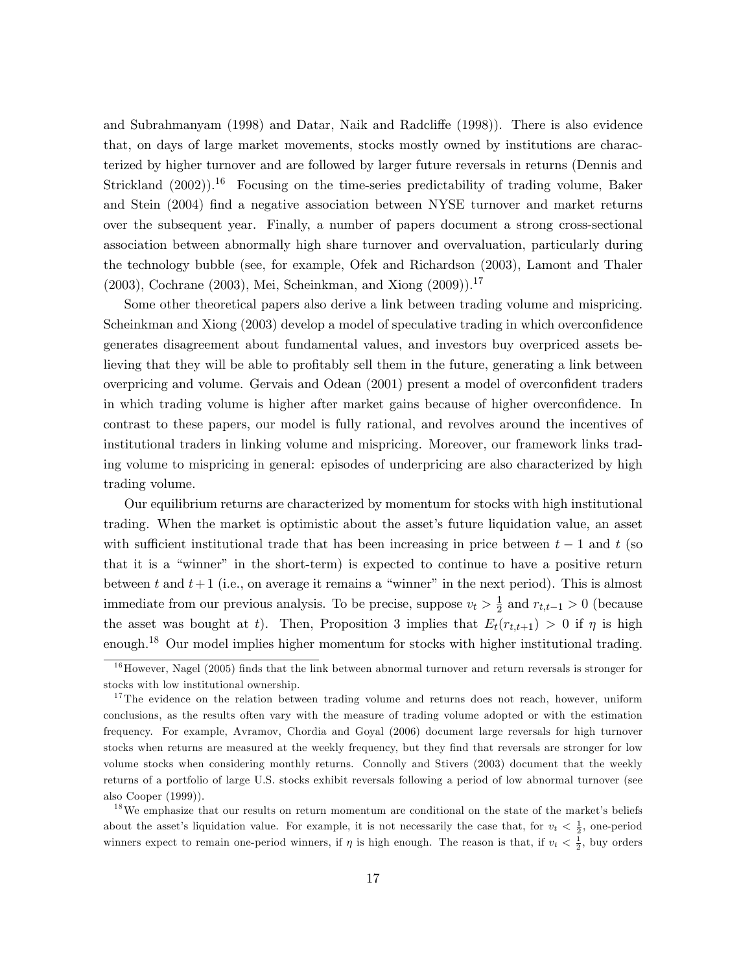and Subrahmanyam (1998) and Datar, Naik and Radcliffe (1998)). There is also evidence that, on days of large market movements, stocks mostly owned by institutions are characterized by higher turnover and are followed by larger future reversals in returns (Dennis and Strickland  $(2002)$ .<sup>16</sup> Focusing on the time-series predictability of trading volume, Baker and Stein (2004) find a negative association between NYSE turnover and market returns over the subsequent year. Finally, a number of papers document a strong cross-sectional association between abnormally high share turnover and overvaluation, particularly during the technology bubble (see, for example, Ofek and Richardson (2003), Lamont and Thaler (2003), Cochrane (2003), Mei, Scheinkman, and Xiong  $(2009)$ ).<sup>17</sup>

Some other theoretical papers also derive a link between trading volume and mispricing. Scheinkman and Xiong (2003) develop a model of speculative trading in which overconfidence generates disagreement about fundamental values, and investors buy overpriced assets believing that they will be able to profitably sell them in the future, generating a link between overpricing and volume. Gervais and Odean (2001) present a model of overconfident traders in which trading volume is higher after market gains because of higher overconfidence. In contrast to these papers, our model is fully rational, and revolves around the incentives of institutional traders in linking volume and mispricing. Moreover, our framework links trading volume to mispricing in general: episodes of underpricing are also characterized by high trading volume.

Our equilibrium returns are characterized by momentum for stocks with high institutional trading. When the market is optimistic about the asset's future liquidation value, an asset with sufficient institutional trade that has been increasing in price between  $t - 1$  and t (so that it is a "winner" in the short-term) is expected to continue to have a positive return between t and  $t+1$  (i.e., on average it remains a "winner" in the next period). This is almost immediate from our previous analysis. To be precise, suppose  $v_t > \frac{1}{2}$  $\frac{1}{2}$  and  $r_{t,t-1} > 0$  (because the asset was bought at t). Then, Proposition 3 implies that  $E_t(r_{t,t+1}) > 0$  if  $\eta$  is high enough.<sup>18</sup> Our model implies higher momentum for stocks with higher institutional trading.

 $16$  However, Nagel (2005) finds that the link between abnormal turnover and return reversals is stronger for stocks with low institutional ownership.

<sup>&</sup>lt;sup>17</sup>The evidence on the relation between trading volume and returns does not reach, however, uniform conclusions, as the results often vary with the measure of trading volume adopted or with the estimation frequency. For example, Avramov, Chordia and Goyal (2006) document large reversals for high turnover stocks when returns are measured at the weekly frequency, but they find that reversals are stronger for low volume stocks when considering monthly returns. Connolly and Stivers (2003) document that the weekly returns of a portfolio of large U.S. stocks exhibit reversals following a period of low abnormal turnover (see also Cooper (1999)).

 $18$ We emphasize that our results on return momentum are conditional on the state of the market's beliefs about the asset's liquidation value. For example, it is not necessarily the case that, for  $v_t < \frac{1}{2}$ , one-period winners expect to remain one-period winners, if  $\eta$  is high enough. The reason is that, if  $v_t < \frac{1}{2}$ , buy orders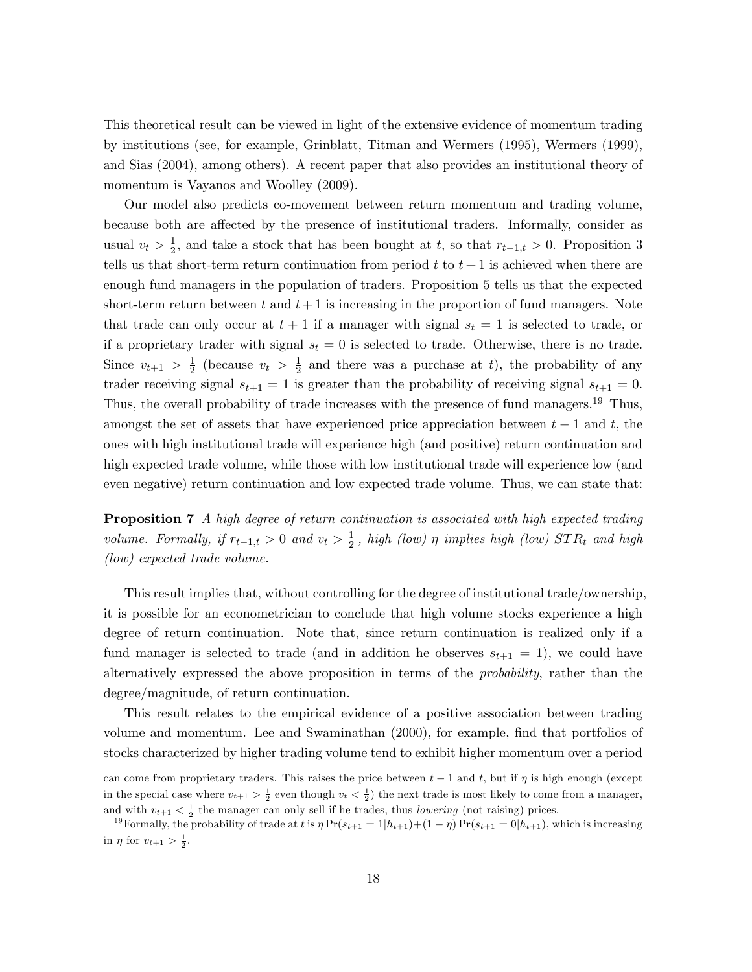This theoretical result can be viewed in light of the extensive evidence of momentum trading by institutions (see, for example, Grinblatt, Titman and Wermers (1995), Wermers (1999), and Sias (2004), among others). A recent paper that also provides an institutional theory of momentum is Vayanos and Woolley (2009).

Our model also predicts co-movement between return momentum and trading volume, because both are affected by the presence of institutional traders. Informally, consider as usual  $v_t > \frac{1}{2}$  $\frac{1}{2}$ , and take a stock that has been bought at t, so that  $r_{t-1,t} > 0$ . Proposition 3 tells us that short-term return continuation from period  $t$  to  $t+1$  is achieved when there are enough fund managers in the population of traders. Proposition 5 tells us that the expected short-term return between t and  $t+1$  is increasing in the proportion of fund managers. Note that trade can only occur at  $t + 1$  if a manager with signal  $s_t = 1$  is selected to trade, or if a proprietary trader with signal  $s_t = 0$  is selected to trade. Otherwise, there is no trade. Since  $v_{t+1} > \frac{1}{2}$  $\frac{1}{2}$  (because  $v_t > \frac{1}{2}$  $\frac{1}{2}$  and there was a purchase at t, the probability of any trader receiving signal  $s_{t+1} = 1$  is greater than the probability of receiving signal  $s_{t+1} = 0$ . Thus, the overall probability of trade increases with the presence of fund managers.<sup>19</sup> Thus, amongst the set of assets that have experienced price appreciation between  $t - 1$  and t, the ones with high institutional trade will experience high (and positive) return continuation and high expected trade volume, while those with low institutional trade will experience low (and even negative) return continuation and low expected trade volume. Thus, we can state that:

Proposition 7 A high degree of return continuation is associated with high expected trading volume. Formally, if  $r_{t-1,t} > 0$  and  $v_t > \frac{1}{2}$  $\frac{1}{2}$ , high (low)  $\eta$  implies high (low)  $STR_t$  and high (low) expected trade volume.

This result implies that, without controlling for the degree of institutional trade/ownership, it is possible for an econometrician to conclude that high volume stocks experience a high degree of return continuation. Note that, since return continuation is realized only if a fund manager is selected to trade (and in addition he observes  $s_{t+1} = 1$ ), we could have alternatively expressed the above proposition in terms of the probability, rather than the degree/magnitude, of return continuation.

This result relates to the empirical evidence of a positive association between trading volume and momentum. Lee and Swaminathan (2000), for example, find that portfolios of stocks characterized by higher trading volume tend to exhibit higher momentum over a period

can come from proprietary traders. This raises the price between  $t-1$  and t, but if  $\eta$  is high enough (except in the special case where  $v_{t+1} > \frac{1}{2}$  even though  $v_t < \frac{1}{2}$ ) the next trade is most likely to come from a manager, and with  $v_{t+1} < \frac{1}{2}$  the manager can only sell if he trades, thus *lowering* (not raising) prices.

<sup>&</sup>lt;sup>19</sup> Formally, the probability of trade at t is  $\eta \Pr(s_{t+1} = 1 | h_{t+1}) + (1 - \eta) \Pr(s_{t+1} = 0 | h_{t+1})$ , which is increasing in  $\eta$  for  $v_{t+1} > \frac{1}{2}$ .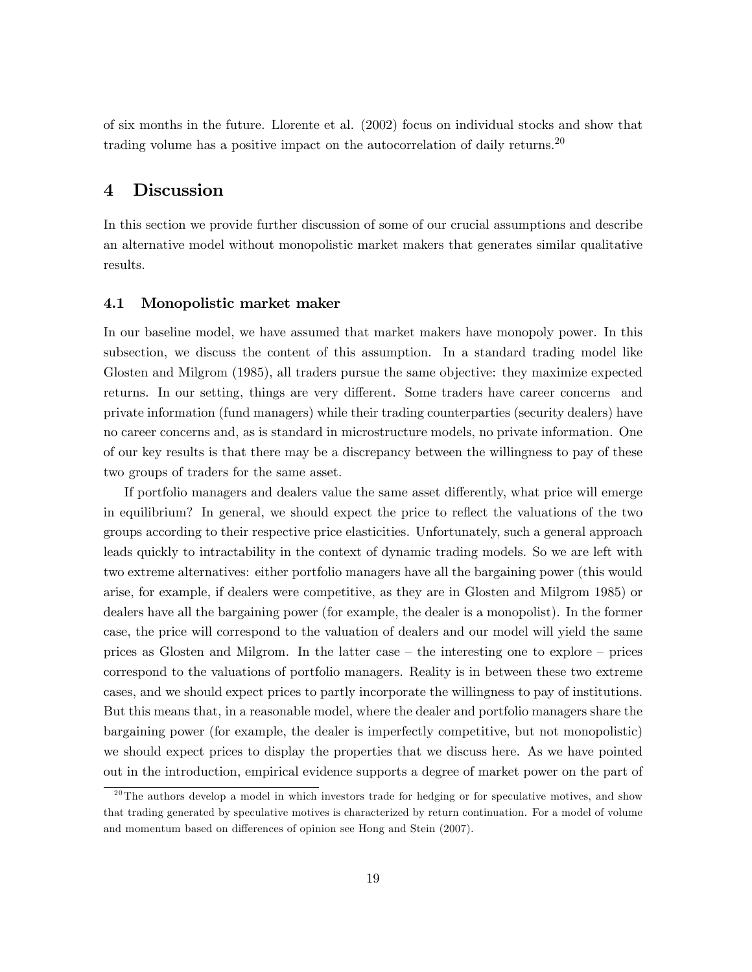of six months in the future. Llorente et al. (2002) focus on individual stocks and show that trading volume has a positive impact on the autocorrelation of daily returns.<sup>20</sup>

## 4 Discussion

In this section we provide further discussion of some of our crucial assumptions and describe an alternative model without monopolistic market makers that generates similar qualitative results.

#### 4.1 Monopolistic market maker

In our baseline model, we have assumed that market makers have monopoly power. In this subsection, we discuss the content of this assumption. In a standard trading model like Glosten and Milgrom (1985), all traders pursue the same objective: they maximize expected returns. In our setting, things are very different. Some traders have career concerns and private information (fund managers) while their trading counterparties (security dealers) have no career concerns and, as is standard in microstructure models, no private information. One of our key results is that there may be a discrepancy between the willingness to pay of these two groups of traders for the same asset.

If portfolio managers and dealers value the same asset differently, what price will emerge in equilibrium? In general, we should expect the price to reflect the valuations of the two groups according to their respective price elasticities. Unfortunately, such a general approach leads quickly to intractability in the context of dynamic trading models. So we are left with two extreme alternatives: either portfolio managers have all the bargaining power (this would arise, for example, if dealers were competitive, as they are in Glosten and Milgrom 1985) or dealers have all the bargaining power (for example, the dealer is a monopolist). In the former case, the price will correspond to the valuation of dealers and our model will yield the same prices as Glosten and Milgrom. In the latter case  $-$  the interesting one to explore  $-$  prices correspond to the valuations of portfolio managers. Reality is in between these two extreme cases, and we should expect prices to partly incorporate the willingness to pay of institutions. But this means that, in a reasonable model, where the dealer and portfolio managers share the bargaining power (for example, the dealer is imperfectly competitive, but not monopolistic) we should expect prices to display the properties that we discuss here. As we have pointed out in the introduction, empirical evidence supports a degree of market power on the part of

 $20$ <sup>20</sup>The authors develop a model in which investors trade for hedging or for speculative motives, and show that trading generated by speculative motives is characterized by return continuation. For a model of volume and momentum based on differences of opinion see Hong and Stein (2007).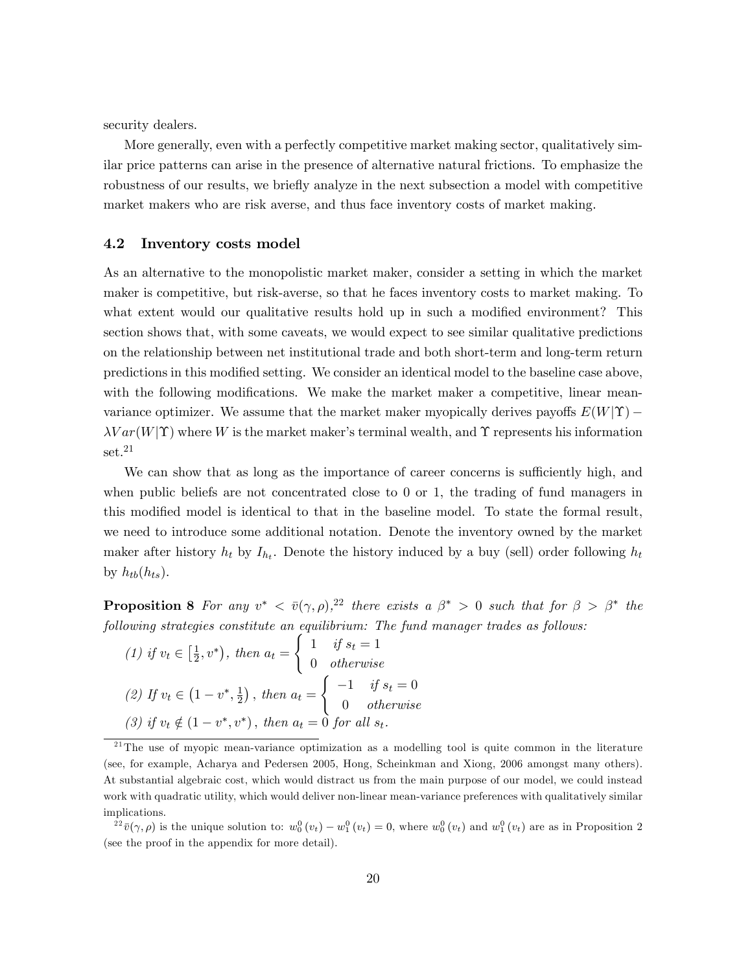security dealers.

More generally, even with a perfectly competitive market making sector, qualitatively similar price patterns can arise in the presence of alternative natural frictions. To emphasize the robustness of our results, we briefly analyze in the next subsection a model with competitive market makers who are risk averse, and thus face inventory costs of market making.

#### 4.2 Inventory costs model

As an alternative to the monopolistic market maker, consider a setting in which the market maker is competitive, but risk-averse, so that he faces inventory costs to market making. To what extent would our qualitative results hold up in such a modified environment? This section shows that, with some caveats, we would expect to see similar qualitative predictions on the relationship between net institutional trade and both short-term and long-term return predictions in this modified setting. We consider an identical model to the baseline case above, with the following modifications. We make the market maker a competitive, linear meanvariance optimizer. We assume that the market maker myopically derives payoffs  $E(W|\Upsilon)$  –  $\lambda Var(W|\Upsilon)$  where W is the market maker's terminal wealth, and  $\Upsilon$  represents his information set.<sup>21</sup>

We can show that as long as the importance of career concerns is sufficiently high, and when public beliefs are not concentrated close to 0 or 1, the trading of fund managers in this modified model is identical to that in the baseline model. To state the formal result, we need to introduce some additional notation. Denote the inventory owned by the market maker after history  $h_t$  by  $I_{h_t}$ . Denote the history induced by a buy (sell) order following  $h_t$ by  $h_{tb}(h_{ts})$ .

**Proposition 8** For any  $v^* < \bar{v}(\gamma,\rho)$ , <sup>22</sup> there exists a  $\beta^* > 0$  such that for  $\beta > \beta^*$  the following strategies constitute an equilibrium: The fund manager trades as follows:

|  |                                                                                                                                                                                                         | (1) if $v_t \in \left[\frac{1}{2}, v^*\right)$ , then $a_t = \begin{cases} 1 & \text{if } s_t = 1 \\ 0 & \text{otherwise} \end{cases}$ |  |  |
|--|---------------------------------------------------------------------------------------------------------------------------------------------------------------------------------------------------------|----------------------------------------------------------------------------------------------------------------------------------------|--|--|
|  |                                                                                                                                                                                                         |                                                                                                                                        |  |  |
|  | (2) If $v_t \in (1 - v^*, \frac{1}{2})$ , then $a_t = \begin{cases} -1 & \text{if } s_t = 0 \\ 0 & \text{otherwise} \end{cases}$<br>(3) if $v_t \notin (1 - v^*, v^*)$ , then $a_t = 0$ for all $s_t$ . |                                                                                                                                        |  |  |
|  |                                                                                                                                                                                                         |                                                                                                                                        |  |  |
|  |                                                                                                                                                                                                         |                                                                                                                                        |  |  |

 $21$ <sup>21</sup>The use of myopic mean-variance optimization as a modelling tool is quite common in the literature (see, for example, Acharya and Pedersen 2005, Hong, Scheinkman and Xiong, 2006 amongst many others). At substantial algebraic cost, which would distract us from the main purpose of our model, we could instead work with quadratic utility, which would deliver non-linear mean-variance preferences with qualitatively similar implications.

 $^{22}$  $\bar{v}(\gamma,\rho)$  is the unique solution to:  $w_0^0(v_t) - w_1^0(v_t) = 0$ , where  $w_0^0(v_t)$  and  $w_1^0(v_t)$  are as in Proposition 2 (see the proof in the appendix for more detail).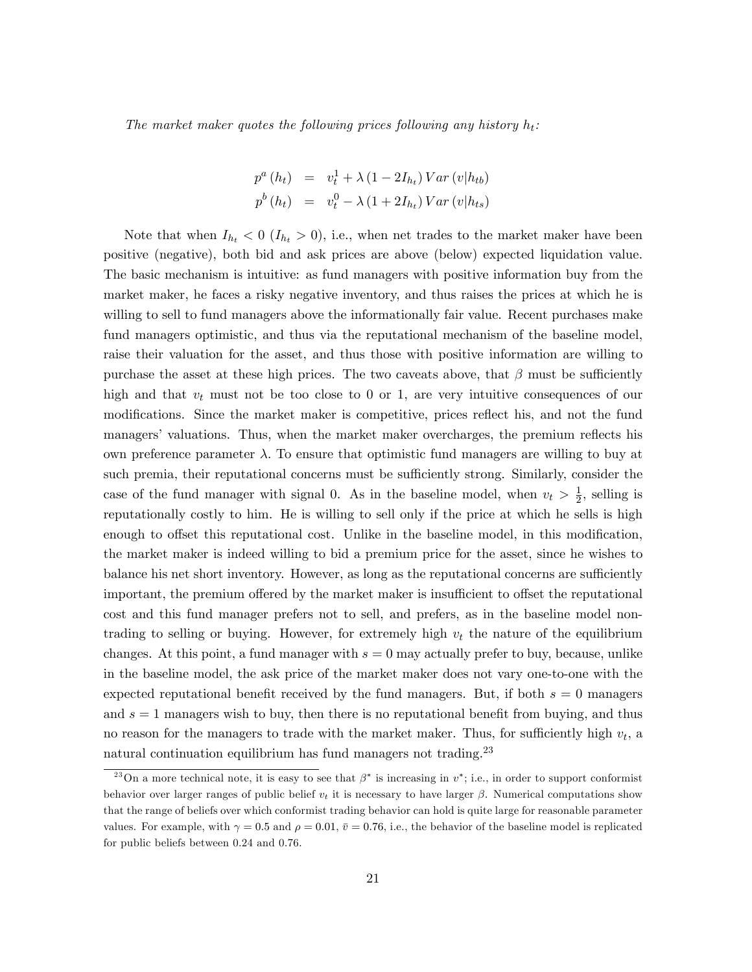The market maker quotes the following prices following any history  $h_t$ :

$$
p^{a}(h_{t}) = v_{t}^{1} + \lambda (1 - 2I_{h_{t}}) Var(v|h_{tb})
$$
  

$$
p^{b}(h_{t}) = v_{t}^{0} - \lambda (1 + 2I_{h_{t}}) Var(v|h_{ts})
$$

Note that when  $I_{h_t} < 0$   $(I_{h_t} > 0)$ , i.e., when net trades to the market maker have been positive (negative), both bid and ask prices are above (below) expected liquidation value. The basic mechanism is intuitive: as fund managers with positive information buy from the market maker, he faces a risky negative inventory, and thus raises the prices at which he is willing to sell to fund managers above the informationally fair value. Recent purchases make fund managers optimistic, and thus via the reputational mechanism of the baseline model, raise their valuation for the asset, and thus those with positive information are willing to purchase the asset at these high prices. The two caveats above, that  $\beta$  must be sufficiently high and that  $v_t$  must not be too close to 0 or 1, are very intuitive consequences of our modifications. Since the market maker is competitive, prices reflect his, and not the fund managers' valuations. Thus, when the market maker overcharges, the premium reflects his own preference parameter  $\lambda$ . To ensure that optimistic fund managers are willing to buy at such premia, their reputational concerns must be sufficiently strong. Similarly, consider the case of the fund manager with signal 0. As in the baseline model, when  $v_t > \frac{1}{2}$  $\frac{1}{2}$ , selling is reputationally costly to him. He is willing to sell only if the price at which he sells is high enough to offset this reputational cost. Unlike in the baseline model, in this modification, the market maker is indeed willing to bid a premium price for the asset, since he wishes to balance his net short inventory. However, as long as the reputational concerns are sufficiently important, the premium offered by the market maker is insufficient to offset the reputational cost and this fund manager prefers not to sell, and prefers, as in the baseline model nontrading to selling or buying. However, for extremely high  $v_t$  the nature of the equilibrium changes. At this point, a fund manager with  $s = 0$  may actually prefer to buy, because, unlike in the baseline model, the ask price of the market maker does not vary one-to-one with the expected reputational benefit received by the fund managers. But, if both  $s = 0$  managers and  $s = 1$  managers wish to buy, then there is no reputational benefit from buying, and thus no reason for the managers to trade with the market maker. Thus, for sufficiently high  $v_t$ , a natural continuation equilibrium has fund managers not trading.<sup>23</sup>

<sup>&</sup>lt;sup>23</sup>On a more technical note, it is easy to see that  $\beta^*$  is increasing in  $v^*$ ; i.e., in order to support conformist behavior over larger ranges of public belief  $v_t$  it is necessary to have larger  $\beta$ . Numerical computations show that the range of beliefs over which conformist trading behavior can hold is quite large for reasonable parameter values. For example, with  $\gamma = 0.5$  and  $\rho = 0.01$ ,  $\bar{v} = 0.76$ , i.e., the behavior of the baseline model is replicated for public beliefs between 0.24 and 0.76.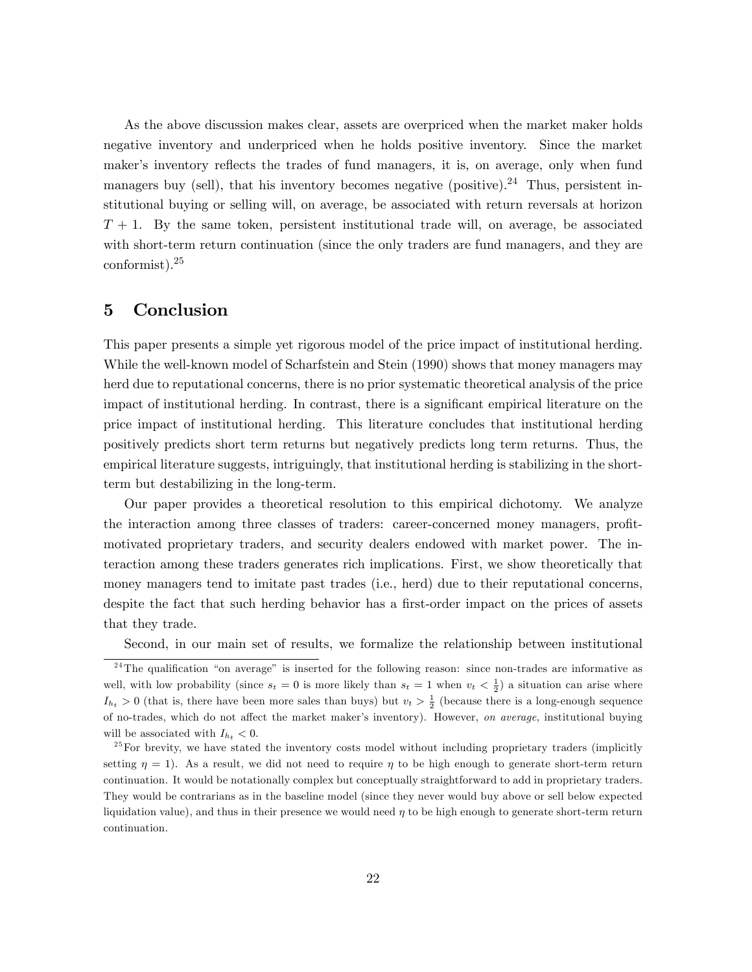As the above discussion makes clear, assets are overpriced when the market maker holds negative inventory and underpriced when he holds positive inventory. Since the market maker's inventory reflects the trades of fund managers, it is, on average, only when fund managers buy (sell), that his inventory becomes negative (positive).<sup>24</sup> Thus, persistent institutional buying or selling will, on average, be associated with return reversals at horizon  $T+1$ . By the same token, persistent institutional trade will, on average, be associated with short-term return continuation (since the only traders are fund managers, and they are conformist).<sup>25</sup>

### 5 Conclusion

This paper presents a simple yet rigorous model of the price impact of institutional herding. While the well-known model of Scharfstein and Stein (1990) shows that money managers may herd due to reputational concerns, there is no prior systematic theoretical analysis of the price impact of institutional herding. In contrast, there is a significant empirical literature on the price impact of institutional herding. This literature concludes that institutional herding positively predicts short term returns but negatively predicts long term returns. Thus, the empirical literature suggests, intriguingly, that institutional herding is stabilizing in the shortterm but destabilizing in the long-term.

Our paper provides a theoretical resolution to this empirical dichotomy. We analyze the interaction among three classes of traders: career-concerned money managers, profitmotivated proprietary traders, and security dealers endowed with market power. The interaction among these traders generates rich implications. First, we show theoretically that money managers tend to imitate past trades (i.e., herd) due to their reputational concerns, despite the fact that such herding behavior has a first-order impact on the prices of assets that they trade.

Second, in our main set of results, we formalize the relationship between institutional

 $24$ The qualification "on average" is inserted for the following reason: since non-trades are informative as well, with low probability (since  $s_t = 0$  is more likely than  $s_t = 1$  when  $v_t < \frac{1}{2}$ ) a situation can arise where  $I_{h_t} > 0$  (that is, there have been more sales than buys) but  $v_t > \frac{1}{2}$  (because there is a long-enough sequence of no-trades, which do not affect the market maker's inventory). However, on average, institutional buying will be associated with  $I_{h_t} < 0$ .

 $^{25}$  For brevity, we have stated the inventory costs model without including proprietary traders (implicitly setting  $\eta = 1$ . As a result, we did not need to require  $\eta$  to be high enough to generate short-term return continuation. It would be notationally complex but conceptually straightforward to add in proprietary traders. They would be contrarians as in the baseline model (since they never would buy above or sell below expected liquidation value), and thus in their presence we would need  $\eta$  to be high enough to generate short-term return continuation.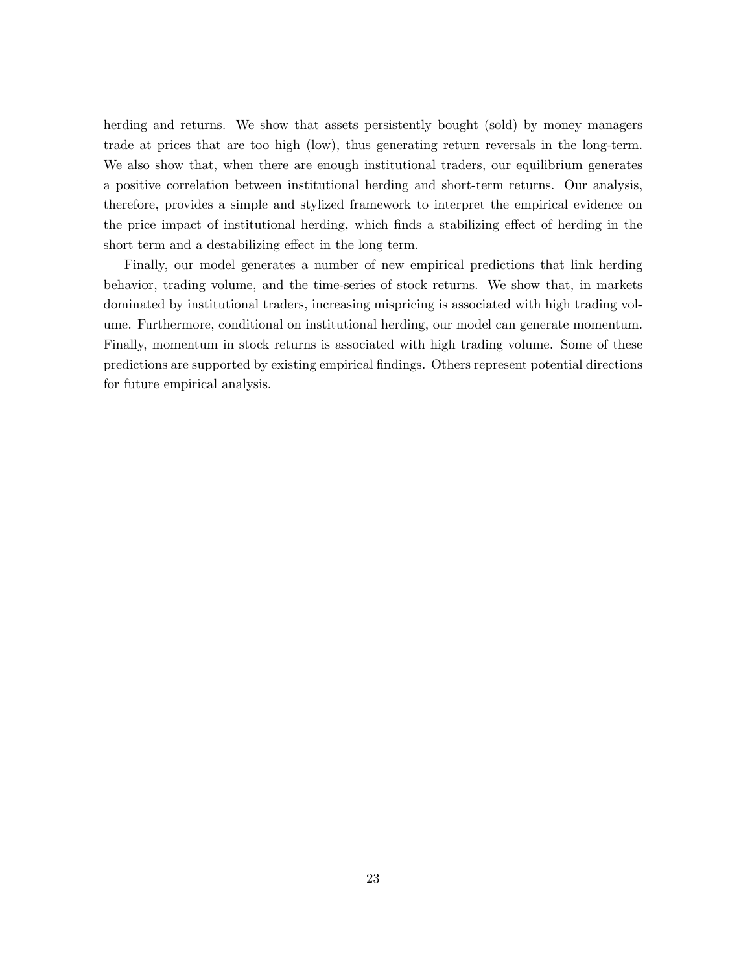herding and returns. We show that assets persistently bought (sold) by money managers trade at prices that are too high (low), thus generating return reversals in the long-term. We also show that, when there are enough institutional traders, our equilibrium generates a positive correlation between institutional herding and short-term returns. Our analysis, therefore, provides a simple and stylized framework to interpret the empirical evidence on the price impact of institutional herding, which finds a stabilizing effect of herding in the short term and a destabilizing effect in the long term.

Finally, our model generates a number of new empirical predictions that link herding behavior, trading volume, and the time-series of stock returns. We show that, in markets dominated by institutional traders, increasing mispricing is associated with high trading volume. Furthermore, conditional on institutional herding, our model can generate momentum. Finally, momentum in stock returns is associated with high trading volume. Some of these predictions are supported by existing empirical Öndings. Others represent potential directions for future empirical analysis.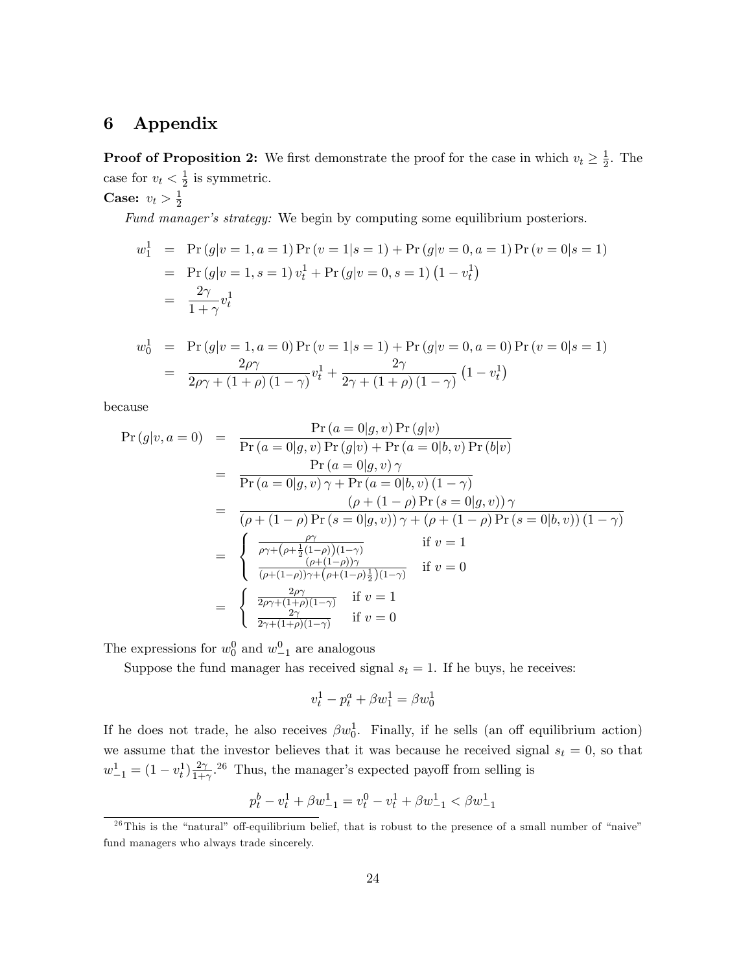## 6 Appendix

2

**Proof of Proposition 2:** We first demonstrate the proof for the case in which  $v_t \geq \frac{1}{2}$  $\frac{1}{2}$ . The case for  $v_t < \frac{1}{2}$  $\frac{1}{2}$  is symmetric. Case:  $v_t > \frac{1}{2}$ 

Fund manager's strategy: We begin by computing some equilibrium posteriors.

$$
w_1^1 = \Pr(g|v=1, a=1) \Pr(v=1|s=1) + \Pr(g|v=0, a=1) \Pr(v=0|s=1)
$$
  
= 
$$
\Pr(g|v=1, s=1) v_t^1 + \Pr(g|v=0, s=1) (1 - v_t^1)
$$
  
= 
$$
\frac{2\gamma}{1 + \gamma} v_t^1
$$

$$
w_0^1 = \Pr(g|v=1, a=0) \Pr(v=1|s=1) + \Pr(g|v=0, a=0) \Pr(v=0|s=1)
$$
  
= 
$$
\frac{2\rho\gamma}{2\rho\gamma + (1+\rho)(1-\gamma)} v_t^1 + \frac{2\gamma}{2\gamma + (1+\rho)(1-\gamma)} (1-v_t^1)
$$

because

$$
\Pr(g|v, a=0) = \frac{\Pr(a=0|g, v) \Pr(g|v)}{\Pr(a=0|g, v) \Pr(g|v) + \Pr(a=0|b, v) \Pr(b|v)}
$$
  
\n
$$
= \frac{\Pr(a=0|g, v) \gamma}{\Pr(a=0|g, v) \gamma + \Pr(a=0|b, v) (1-\gamma)}
$$
  
\n
$$
= \frac{(\rho + (1-\rho) \Pr(s=0|g, v)) \gamma}{(\rho + (1-\rho) \Pr(s=0|g, v)) \gamma + (\rho + (1-\rho) \Pr(s=0|b, v)) (1-\gamma)}
$$
  
\n
$$
= \begin{cases} \frac{\rho \gamma}{\rho \gamma + (\rho + \frac{1}{2}(1-\rho))(1-\gamma)} & \text{if } v=1 \\ \frac{(\rho + (1-\rho)) \gamma}{(\rho + (1-\rho)) \gamma + (\rho + (1-\rho)\frac{1}{2})(1-\gamma)} & \text{if } v=0 \end{cases}
$$
  
\n
$$
= \begin{cases} \frac{2\rho \gamma}{2\rho \gamma + (1+\rho)(1-\gamma)} & \text{if } v=1 \\ \frac{2\gamma}{2\rho \gamma + (1+\rho)(1-\gamma)} & \text{if } v=0 \end{cases}
$$

The expressions for  $w_0^0$  and  $w_{-1}^0$  are analogous

Suppose the fund manager has received signal  $s_t = 1$ . If he buys, he receives:

$$
v_t^1 - p_t^a + \beta w_1^1 = \beta w_0^1
$$

If he does not trade, he also receives  $\beta w_0^1$ . Finally, if he sells (an off equilibrium action) we assume that the investor believes that it was because he received signal  $s_t = 0$ , so that  $w_{-1}^1 = (1 - v_t^1) \frac{2\gamma}{1 + \gamma}$  $\frac{2\gamma}{1+\gamma}$ . <sup>26</sup> Thus, the manager's expected payoff from selling is

$$
p^b_t - v^1_t + \beta w^1_{-1} = v^0_t - v^1_t + \beta w^1_{-1} < \beta w^1_{-1}
$$

 $26$ This is the "natural" off-equilibrium belief, that is robust to the presence of a small number of "naive" fund managers who always trade sincerely.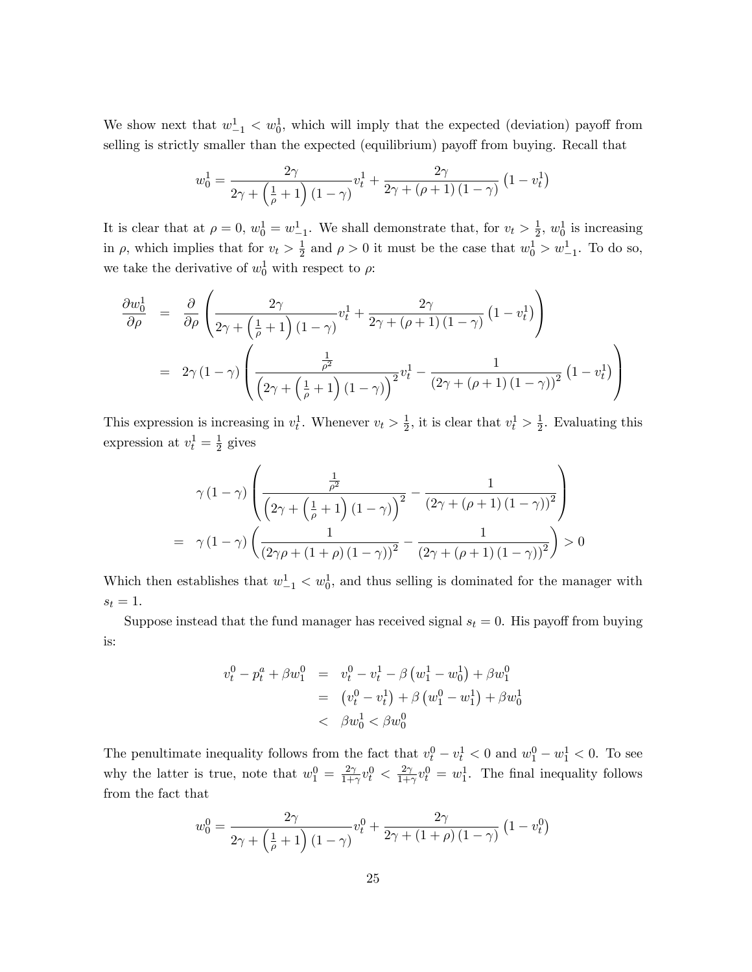We show next that  $w_{-1}^1 < w_0^1$ , which will imply that the expected (deviation) payoff from selling is strictly smaller than the expected (equilibrium) payoff from buying. Recall that

$$
w_0^1 = \frac{2\gamma}{2\gamma + \left(\frac{1}{\rho} + 1\right)(1 - \gamma)} v_t^1 + \frac{2\gamma}{2\gamma + (\rho + 1)(1 - \gamma)} \left(1 - v_t^1\right)
$$

It is clear that at  $\rho = 0$ ,  $w_0^1 = w_{-1}^1$ . We shall demonstrate that, for  $v_t > \frac{1}{2}$  $\frac{1}{2}$ ,  $w_0^1$  is increasing in  $\rho$ , which implies that for  $v_t > \frac{1}{2}$  $\frac{1}{2}$  and  $\rho > 0$  it must be the case that  $w_0^1 > w_{-1}^1$ . To do so, we take the derivative of  $w_0^1$  with respect to  $\rho$ :

$$
\frac{\partial w_0^1}{\partial \rho} = \frac{\partial}{\partial \rho} \left( \frac{2\gamma}{2\gamma + \left(\frac{1}{\rho} + 1\right)(1 - \gamma)} v_t^1 + \frac{2\gamma}{2\gamma + (\rho + 1)(1 - \gamma)} (1 - v_t^1) \right)
$$

$$
= 2\gamma (1 - \gamma) \left( \frac{\frac{1}{\rho^2}}{\left(2\gamma + \left(\frac{1}{\rho} + 1\right)(1 - \gamma)\right)^2} v_t^1 - \frac{1}{\left(2\gamma + (\rho + 1)(1 - \gamma)\right)^2} (1 - v_t^1) \right)
$$

This expression is increasing in  $v_t^1$ . Whenever  $v_t > \frac{1}{2}$  $\frac{1}{2}$ , it is clear that  $v_t^1 > \frac{1}{2}$  $\frac{1}{2}$ . Evaluating this expression at  $v_t^1 = \frac{1}{2}$  $\frac{1}{2}$  gives

$$
\gamma (1-\gamma) \left( \frac{\frac{1}{\rho^2}}{\left(2\gamma + \left(\frac{1}{\rho} + 1\right)(1-\gamma)\right)^2} - \frac{1}{\left(2\gamma + \left(\rho + 1\right)(1-\gamma)\right)^2} \right)
$$
  
=  $\gamma (1-\gamma) \left( \frac{1}{\left(2\gamma\rho + \left(1+\rho\right)(1-\gamma)\right)^2} - \frac{1}{\left(2\gamma + \left(\rho + 1\right)(1-\gamma)\right)^2} \right) > 0$ 

Which then establishes that  $w_{-1}^1 < w_0^1$ , and thus selling is dominated for the manager with  $s_t = 1$ .

Suppose instead that the fund manager has received signal  $s_t = 0$ . His payoff from buying is:

$$
v_t^0 - p_t^a + \beta w_1^0 = v_t^0 - v_t^1 - \beta (w_1^1 - w_0^1) + \beta w_1^0
$$
  
=  $(v_t^0 - v_t^1) + \beta (w_1^0 - w_1^1) + \beta w_0^1$   
<  $\beta w_0^1 < \beta w_0^0$ 

The penultimate inequality follows from the fact that  $v_t^0 - v_t^1 < 0$  and  $w_1^0 - w_1^1 < 0$ . To see why the latter is true, note that  $w_1^0 = \frac{2\gamma}{1+\gamma}$  $\frac{2\gamma}{1+\gamma}v_t^0 < \frac{2\gamma}{1+\gamma}$  $\frac{2\gamma}{1+\gamma}v_t^0 = w_1^1$ . The final inequality follows from the fact that

$$
w_0^0 = \frac{2\gamma}{2\gamma + \left(\frac{1}{\rho} + 1\right)(1 - \gamma)} v_t^0 + \frac{2\gamma}{2\gamma + (1 + \rho)(1 - \gamma)} \left(1 - v_t^0\right)
$$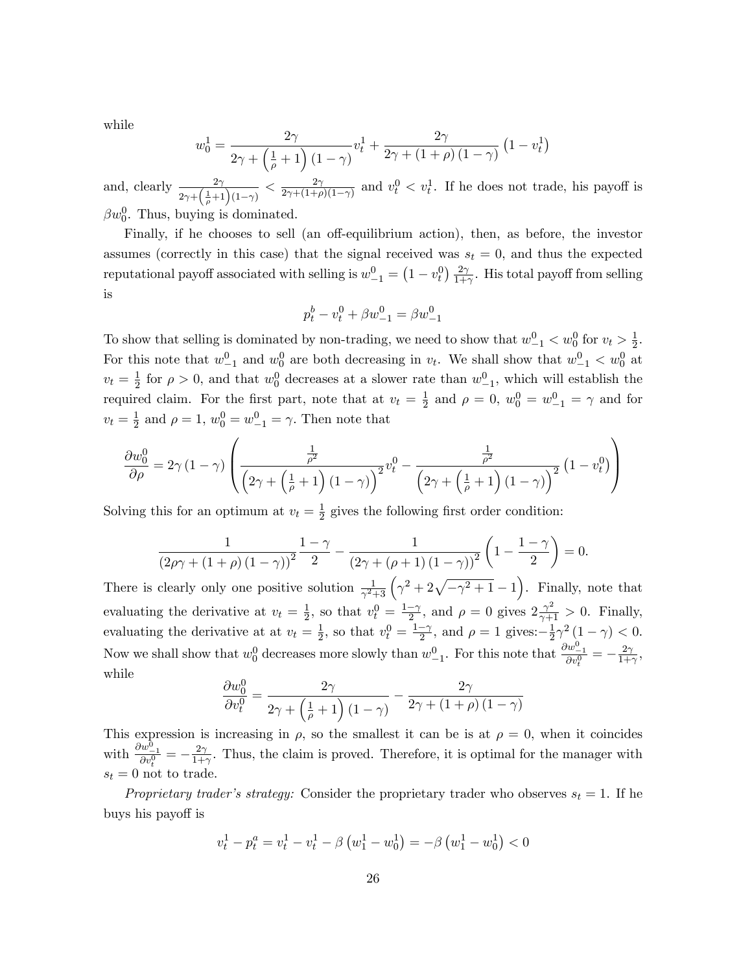while

$$
w_0^1 = \frac{2\gamma}{2\gamma + \left(\frac{1}{\rho} + 1\right)(1 - \gamma)} v_t^1 + \frac{2\gamma}{2\gamma + \left(1 + \rho\right)(1 - \gamma)} \left(1 - v_t^1\right)
$$

and, clearly  $\frac{2\gamma}{2\gamma + (\frac{1}{\rho}+1)(1-\gamma)}$  $\langle \frac{2\gamma}{2\gamma + (1+\rho)}\rangle$  $\frac{2\gamma}{2\gamma + (1+\rho)(1-\gamma)}$  and  $v_t^0 < v_t^1$ . If he does not trade, his payoff is  $\beta w_0^0$ . Thus, buying is dominated.

Finally, if he chooses to sell (an off-equilibrium action), then, as before, the investor assumes (correctly in this case) that the signal received was  $s_t = 0$ , and thus the expected reputational payoff associated with selling is  $w_{-1}^0 = \left(1 - v_t^0\right) \frac{2\gamma}{1 + \gamma}$  $\frac{2\gamma}{1+\gamma}$ . His total payoff from selling is

$$
p_t^b - v_t^0 + \beta w_{-1}^0 = \beta w_{-1}^0
$$

To show that selling is dominated by non-trading, we need to show that  $w_{-1}^0 < w_0^0$  for  $v_t > \frac{1}{2}$  $\frac{1}{2}$ . For this note that  $w_{-1}^0$  and  $w_0^0$  are both decreasing in  $v_t$ . We shall show that  $w_{-1}^0 < w_0^0$  at  $v_t = \frac{1}{2}$  $\frac{1}{2}$  for  $\rho > 0$ , and that  $w_0^0$  decreases at a slower rate than  $w_{-1}^0$ , which will establish the required claim. For the first part, note that at  $v_t = \frac{1}{2}$  $\frac{1}{2}$  and  $\rho = 0$ ,  $w_0^0 = w_{-1}^0 = \gamma$  and for  $v_t = \frac{1}{2}$  $\frac{1}{2}$  and  $\rho = 1$ ,  $w_0^0 = w_{-1}^0 = \gamma$ . Then note that

$$
\frac{\partial w_0^0}{\partial \rho} = 2\gamma (1-\gamma) \left( \frac{\frac{1}{\rho^2}}{\left(2\gamma + \left(\frac{1}{\rho} + 1\right)(1-\gamma)\right)^2} v_t^0 - \frac{\frac{1}{\rho^2}}{\left(2\gamma + \left(\frac{1}{\rho} + 1\right)(1-\gamma)\right)^2} (1-v_t^0) \right)
$$

Solving this for an optimum at  $v_t = \frac{1}{2}$  $\frac{1}{2}$  gives the following first order condition:

$$
\frac{1}{\left(2\rho\gamma+\left(1+\rho\right)\left(1-\gamma\right)\right)^{2}}\frac{1-\gamma}{2}-\frac{1}{\left(2\gamma+\left(\rho+1\right)\left(1-\gamma\right)\right)^{2}}\left(1-\frac{1-\gamma}{2}\right)=0.
$$

There is clearly only one positive solution  $\frac{1}{\gamma^2+3}(\gamma^2+2\sqrt{-\gamma^2+1}-1)$ . Finally, note that evaluating the derivative at  $v_t = \frac{1}{2}$  $\frac{1}{2}$ , so that  $v_t^0 = \frac{1-\gamma}{2}$ , and  $\rho = 0$  gives  $2\frac{\gamma^2}{\gamma+1} > 0$ . Finally, evaluating the derivative at at  $v_t = \frac{1}{2}$  $\frac{1}{2}$ , so that  $v_t^0 = \frac{1-\gamma}{2}$ , and  $\rho = 1$  gives:  $-\frac{1}{2}$  $\frac{1}{2}\gamma^2(1-\gamma) < 0.$ Now we shall show that  $w_0^0$  decreases more slowly than  $w_{-1}^0$ . For this note that  $\frac{\partial w_{-1}^0}{\partial v_t^0} = -\frac{2\gamma}{1+\gamma}$  $\frac{2\gamma}{1+\gamma}$ while

$$
\frac{\partial w_0^0}{\partial v_t^0} = \frac{2\gamma}{2\gamma + \left(\frac{1}{\rho} + 1\right)(1 - \gamma)} - \frac{2\gamma}{2\gamma + (1 + \rho)(1 - \gamma)}
$$

This expression is increasing in  $\rho$ , so the smallest it can be is at  $\rho = 0$ , when it coincides with  $\frac{\partial w_{-1}^{\overline{0}}}{\partial v_t^0} = -\frac{2\gamma}{1+\gamma}$  $\frac{2\gamma}{1+\gamma}$ . Thus, the claim is proved. Therefore, it is optimal for the manager with  $s_t = 0$  not to trade.

Proprietary trader's strategy: Consider the proprietary trader who observes  $s_t = 1$ . If he buys his payoff is

$$
v_t^1 - p_t^a = v_t^1 - v_t^1 - \beta \left( w_1^1 - w_0^1 \right) = -\beta \left( w_1^1 - w_0^1 \right) < 0
$$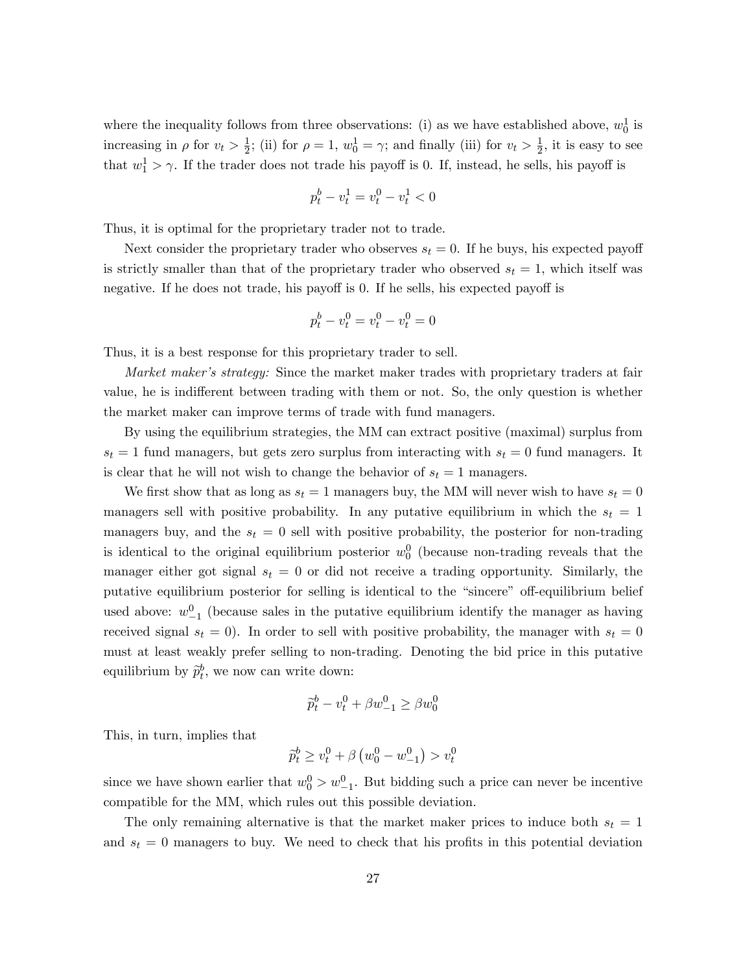where the inequality follows from three observations: (i) as we have established above,  $w_0^1$  is increasing in  $\rho$  for  $v_t > \frac{1}{2}$  $\frac{1}{2}$ ; (ii) for  $\rho = 1$ ,  $w_0^1 = \gamma$ ; and finally (iii) for  $v_t > \frac{1}{2}$  $\frac{1}{2}$ , it is easy to see that  $w_1^1 > \gamma$ . If the trader does not trade his payoff is 0. If, instead, he sells, his payoff is

$$
p_t^b - v_t^1 = v_t^0 - v_t^1 < 0
$$

Thus, it is optimal for the proprietary trader not to trade.

Next consider the proprietary trader who observes  $s_t = 0$ . If he buys, his expected payoff is strictly smaller than that of the proprietary trader who observed  $s_t = 1$ , which itself was negative. If he does not trade, his payoff is  $0$ . If he sells, his expected payoff is

$$
p_t^b - v_t^0 = v_t^0 - v_t^0 = 0
$$

Thus, it is a best response for this proprietary trader to sell.

Market maker's strategy: Since the market maker trades with proprietary traders at fair value, he is indifferent between trading with them or not. So, the only question is whether the market maker can improve terms of trade with fund managers.

By using the equilibrium strategies, the MM can extract positive (maximal) surplus from  $s_t = 1$  fund managers, but gets zero surplus from interacting with  $s_t = 0$  fund managers. It is clear that he will not wish to change the behavior of  $s_t = 1$  managers.

We first show that as long as  $s_t = 1$  managers buy, the MM will never wish to have  $s_t = 0$ managers sell with positive probability. In any putative equilibrium in which the  $s_t = 1$ managers buy, and the  $s_t = 0$  sell with positive probability, the posterior for non-trading is identical to the original equilibrium posterior  $w_0^0$  (because non-trading reveals that the manager either got signal  $s_t = 0$  or did not receive a trading opportunity. Similarly, the putative equilibrium posterior for selling is identical to the "sincere" off-equilibrium belief used above:  $w_{-1}^0$  (because sales in the putative equilibrium identify the manager as having received signal  $s_t = 0$ . In order to sell with positive probability, the manager with  $s_t = 0$ must at least weakly prefer selling to non-trading. Denoting the bid price in this putative equilibrium by  $\tilde{p}_t^b$ , we now can write down:

$$
\tilde{p}_t^b - v_t^0 + \beta w_{-1}^0 \ge \beta w_0^0
$$

This, in turn, implies that

$$
\tilde{p}_t^b \ge v_t^0 + \beta \left( w_0^0 - w_{-1}^0 \right) > v_t^0
$$

since we have shown earlier that  $w_0^0 > w_{-1}^0$ . But bidding such a price can never be incentive compatible for the MM, which rules out this possible deviation.

The only remaining alternative is that the market maker prices to induce both  $s_t = 1$ and  $s_t = 0$  managers to buy. We need to check that his profits in this potential deviation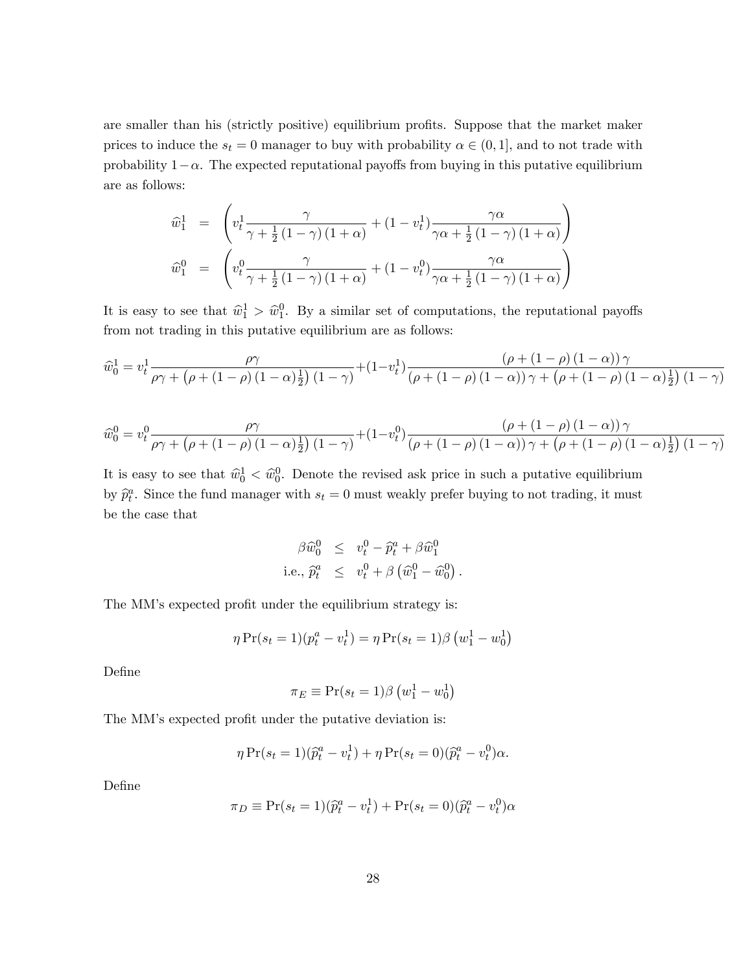are smaller than his (strictly positive) equilibrium profits. Suppose that the market maker prices to induce the  $s_t = 0$  manager to buy with probability  $\alpha \in (0, 1]$ , and to not trade with probability  $1-\alpha$ . The expected reputational payoffs from buying in this putative equilibrium are as follows:

$$
\widehat{w}_1^1 = \left( v_t^1 \frac{\gamma}{\gamma + \frac{1}{2} (1 - \gamma) (1 + \alpha)} + (1 - v_t^1) \frac{\gamma \alpha}{\gamma \alpha + \frac{1}{2} (1 - \gamma) (1 + \alpha)} \right)
$$
  

$$
\widehat{w}_1^0 = \left( v_t^0 \frac{\gamma}{\gamma + \frac{1}{2} (1 - \gamma) (1 + \alpha)} + (1 - v_t^0) \frac{\gamma \alpha}{\gamma \alpha + \frac{1}{2} (1 - \gamma) (1 + \alpha)} \right)
$$

It is easy to see that  $\hat{w}_1^1 > \hat{w}_1^0$ . By a similar set of computations, the reputational payoffs from not trading in this putative equilibrium are as follows:

$$
\widehat{w}_0^1 = v_t^1 \frac{\rho \gamma}{\rho \gamma + (\rho + (1 - \rho)(1 - \alpha)\frac{1}{2})(1 - \gamma)} + (1 - v_t^1) \frac{(\rho + (1 - \rho)(1 - \alpha))\gamma}{(\rho + (1 - \rho)(1 - \alpha))\gamma + (\rho + (1 - \rho)(1 - \alpha)\frac{1}{2})(1 - \gamma)}
$$

$$
\widehat{w}_0^0 = v_t^0 \frac{\rho \gamma}{\rho \gamma + (\rho + (1 - \rho)(1 - \alpha)\frac{1}{2})(1 - \gamma)} + (1 - v_t^0) \frac{(\rho + (1 - \rho)(1 - \alpha))\gamma}{(\rho + (1 - \rho)(1 - \alpha))\gamma + (\rho + (1 - \rho)(1 - \alpha)\frac{1}{2})(1 - \gamma)}
$$

It is easy to see that  $\hat{w}_0^1 < \hat{w}_0^0$ . Denote the revised ask price in such a putative equilibrium by  $\widehat{p}_t^a$ . Since the fund manager with  $s_t = 0$  must weakly prefer buying to not trading, it must be the case that

$$
\beta \widehat{w}_0^0 \leq v_t^0 - \widehat{p}_t^a + \beta \widehat{w}_1^0
$$
  
i.e.,  $\widehat{p}_t^a \leq v_t^0 + \beta (\widehat{w}_1^0 - \widehat{w}_0^0).$ 

The MM's expected profit under the equilibrium strategy is:

$$
\eta \Pr(s_t = 1)(p_t^a - v_t^1) = \eta \Pr(s_t = 1)\beta (w_1^1 - w_0^1)
$$

DeÖne

$$
\pi_E \equiv \Pr(s_t = 1)\beta \left(w_1^1 - w_0^1\right)
$$

The MM's expected profit under the putative deviation is:

$$
\eta \Pr(s_t=1)(\widehat{p}_t^a - v_t^1) + \eta \Pr(s_t=0)(\widehat{p}_t^a - v_t^0)\alpha.
$$

DeÖne

$$
\pi_D \equiv \Pr(s_t = 1)(\hat{p}_t^a - v_t^1) + \Pr(s_t = 0)(\hat{p}_t^a - v_t^0)\alpha
$$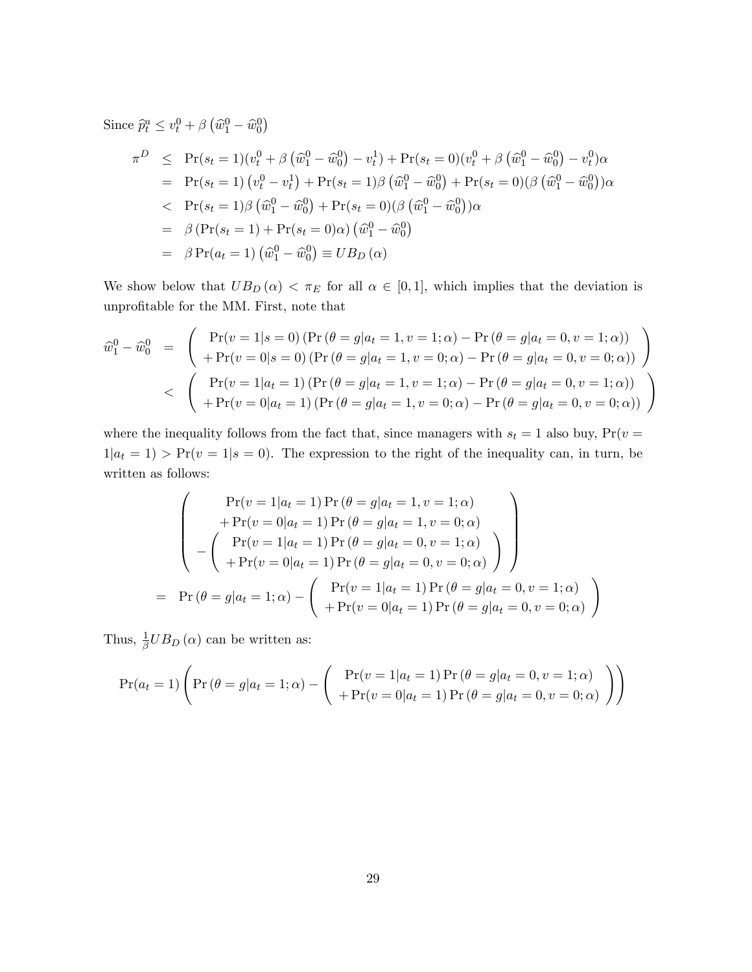Since  $\widehat{p}_t^a \le v_t^0 + \beta \left(\widehat{w}_1^0 - \widehat{w}_0^0\right)$ 

$$
\pi^{D} \leq \Pr(s_{t} = 1)(v_{t}^{0} + \beta (\hat{w}_{1}^{0} - \hat{w}_{0}^{0}) - v_{t}^{1}) + \Pr(s_{t} = 0)(v_{t}^{0} + \beta (\hat{w}_{1}^{0} - \hat{w}_{0}^{0}) - v_{t}^{0}) \alpha \n= \Pr(s_{t} = 1) (v_{t}^{0} - v_{t}^{1}) + \Pr(s_{t} = 1)\beta (\hat{w}_{1}^{0} - \hat{w}_{0}^{0}) + \Pr(s_{t} = 0)(\beta (\hat{w}_{1}^{0} - \hat{w}_{0}^{0})) \alpha \n< \Pr(s_{t} = 1)\beta (\hat{w}_{1}^{0} - \hat{w}_{0}^{0}) + \Pr(s_{t} = 0)(\beta (\hat{w}_{1}^{0} - \hat{w}_{0}^{0})) \alpha \n= \beta (\Pr(s_{t} = 1) + \Pr(s_{t} = 0)\alpha) (\hat{w}_{1}^{0} - \hat{w}_{0}^{0}) \n= \beta \Pr(a_{t} = 1) (\hat{w}_{1}^{0} - \hat{w}_{0}^{0}) \equiv UB_{D}(\alpha)
$$

We show below that  $UB_D(\alpha) < \pi_E$  for all  $\alpha \in [0,1]$ , which implies that the deviation is unprofitable for the MM. First, note that

$$
\hat{w}_1^0 - \hat{w}_0^0 = \begin{pmatrix} Pr(v = 1|s = 0) (Pr(\theta = g|a_t = 1, v = 1; \alpha) - Pr(\theta = g|a_t = 0, v = 1; \alpha)) \\ + Pr(v = 0|s = 0) (Pr(\theta = g|a_t = 1, v = 0; \alpha) - Pr(\theta = g|a_t = 0, v = 0; \alpha)) \end{pmatrix}
$$
  
< 
$$
\begin{pmatrix} Pr(v = 1|a_t = 1) (Pr(\theta = g|a_t = 1, v = 1; \alpha) - Pr(\theta = g|a_t = 0, v = 1; \alpha)) \\ + Pr(v = 0|a_t = 1) (Pr(\theta = g|a_t = 1, v = 0; \alpha) - Pr(\theta = g|a_t = 0, v = 0; \alpha)) \end{pmatrix}
$$

where the inequality follows from the fact that, since managers with  $s_t = 1$  also buy,  $Pr(v =$  $1|a_t = 1$  > Pr(v = 1|s = 0). The expression to the right of the inequality can, in turn, be written as follows:

$$
\begin{pmatrix}\n\Pr(v = 1|a_t = 1) \Pr(\theta = g|a_t = 1, v = 1; \alpha) \\
+ \Pr(v = 0|a_t = 1) \Pr(\theta = g|a_t = 1, v = 0; \alpha) \\
-\left(\begin{array}{c}\Pr(v = 1|a_t = 1) \Pr(\theta = g|a_t = 0, v = 1; \alpha) \\
+ \Pr(v = 0|a_t = 1) \Pr(\theta = g|a_t = 0, v = 0; \alpha)\n\end{array}\right)\n\end{pmatrix}
$$
\n=  $\Pr(\theta = g|a_t = 1; \alpha) - \left(\begin{array}{c}\Pr(v = 1|a_t = 1) \Pr(\theta = g|a_t = 0, v = 1; \alpha) \\
+ \Pr(v = 0|a_t = 1) \Pr(\theta = g|a_t = 0, v = 0; \alpha)\n\end{array}\right)$ 

Thus,  $\frac{1}{\beta}UB_D(\alpha)$  can be written as:

$$
\Pr(a_t = 1) \left( \Pr(\theta = g | a_t = 1; \alpha) - \left( \begin{array}{c} \Pr(v = 1 | a_t = 1) \Pr(\theta = g | a_t = 0, v = 1; \alpha) \\ + \Pr(v = 0 | a_t = 1) \Pr(\theta = g | a_t = 0, v = 0; \alpha) \end{array} \right) \right)
$$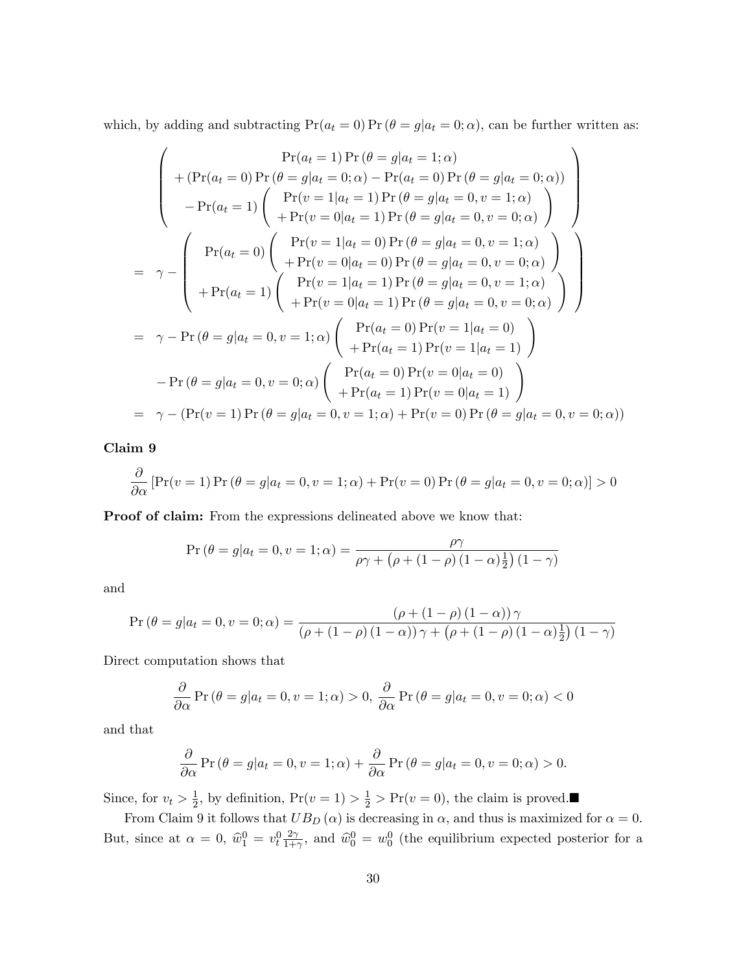which, by adding and subtracting  $Pr(a_t = 0) Pr(\theta = g|a_t = 0; \alpha)$ , can be further written as:

$$
\begin{pmatrix}\n\Pr(a_t = 1) \Pr(\theta = g | a_t = 1; \alpha) \\
+ (\Pr(a_t = 0) \Pr(\theta = g | a_t = 0; \alpha) - \Pr(a_t = 0) \Pr(\theta = g | a_t = 0; \alpha)) \\
-\Pr(a_t = 1) \begin{pmatrix}\n\Pr(v = 1 | a_t = 1) \Pr(\theta = g | a_t = 0, v = 1; \alpha) \\
+ \Pr(v = 0 | a_t = 1) \Pr(\theta = g | a_t = 0, v = 0; \alpha)\n\end{pmatrix}\n\end{pmatrix}
$$
\n
$$
= \gamma - \begin{pmatrix}\n\Pr(a_t = 0) \begin{pmatrix}\n\Pr(v = 1 | a_t = 0) \Pr(\theta = g | a_t = 0, v = 1; \alpha) \\
+ \Pr(v = 0 | a_t = 0) \Pr(\theta = g | a_t = 0, v = 0; \alpha)\n\end{pmatrix} \\
+ \Pr(a_t = 1) \begin{pmatrix}\n\Pr(v = 1 | a_t = 1) \Pr(\theta = g | a_t = 0, v = 1; \alpha) \\
+ \Pr(v = 0 | a_t = 1) \Pr(\theta = g | a_t = 0, v = 0; \alpha)\n\end{pmatrix}\n\end{pmatrix}
$$
\n
$$
= \gamma - \Pr(\theta = g | a_t = 0, v = 1; \alpha) \begin{pmatrix}\n\Pr(a_t = 0) \Pr(v = 1 | a_t = 0) \\
+ \Pr(a_t = 1) \Pr(v = 1 | a_t = 1)\n\end{pmatrix}
$$
\n
$$
- \Pr(\theta = g | a_t = 0, v = 0; \alpha) \begin{pmatrix}\n\Pr(a_t = 0) \Pr(v = 0 | a_t = 0) \\
+ \Pr(a_t = 1) \Pr(v = 0 | a_t = 1)\n\end{pmatrix}
$$
\n
$$
= \gamma - (\Pr(v = 1) \Pr(\theta = g | a_t = 0, v = 1; \alpha) + \Pr(v = 0) \Pr(\theta = g | a_t = 0, v = 0; \alpha))
$$

Claim 9

$$
\frac{\partial}{\partial \alpha} \left[ \Pr(v=1) \Pr(\theta = g | a_t = 0, v=1; \alpha) + \Pr(v=0) \Pr(\theta = g | a_t = 0, v=0; \alpha) \right] > 0
$$

Proof of claim: From the expressions delineated above we know that:

$$
\Pr(\theta = g | a_t = 0, v = 1; \alpha) = \frac{\rho \gamma}{\rho \gamma + (\rho + (1 - \rho) (1 - \alpha) \frac{1}{2}) (1 - \gamma)}
$$

and

$$
\Pr(\theta = g | a_t = 0, v = 0; \alpha) = \frac{(\rho + (1 - \rho) (1 - \alpha)) \gamma}{(\rho + (1 - \rho) (1 - \alpha)) \gamma + (\rho + (1 - \rho) (1 - \alpha) \frac{1}{2}) (1 - \gamma)}
$$

Direct computation shows that

$$
\frac{\partial}{\partial \alpha} \Pr(\theta = g | a_t = 0, v = 1; \alpha) > 0, \frac{\partial}{\partial \alpha} \Pr(\theta = g | a_t = 0, v = 0; \alpha) < 0
$$

and that

$$
\frac{\partial}{\partial \alpha} \Pr(\theta = g | a_t = 0, v = 1; \alpha) + \frac{\partial}{\partial \alpha} \Pr(\theta = g | a_t = 0, v = 0; \alpha) > 0.
$$

Since, for  $v_t > \frac{1}{2}$  $\frac{1}{2}$ , by definition,  $Pr(v = 1) > \frac{1}{2} > Pr(v = 0)$ , the claim is proved.

From Claim 9 it follows that  $UB_D(\alpha)$  is decreasing in  $\alpha$ , and thus is maximized for  $\alpha = 0$ . But, since at  $\alpha = 0$ ,  $\widehat{w}_1^0 = v_t^0 \frac{2\gamma}{1+\gamma}$  $\frac{2\gamma}{1+\gamma}$ , and  $\hat{w}_0^0 = w_0^0$  (the equilibrium expected posterior for a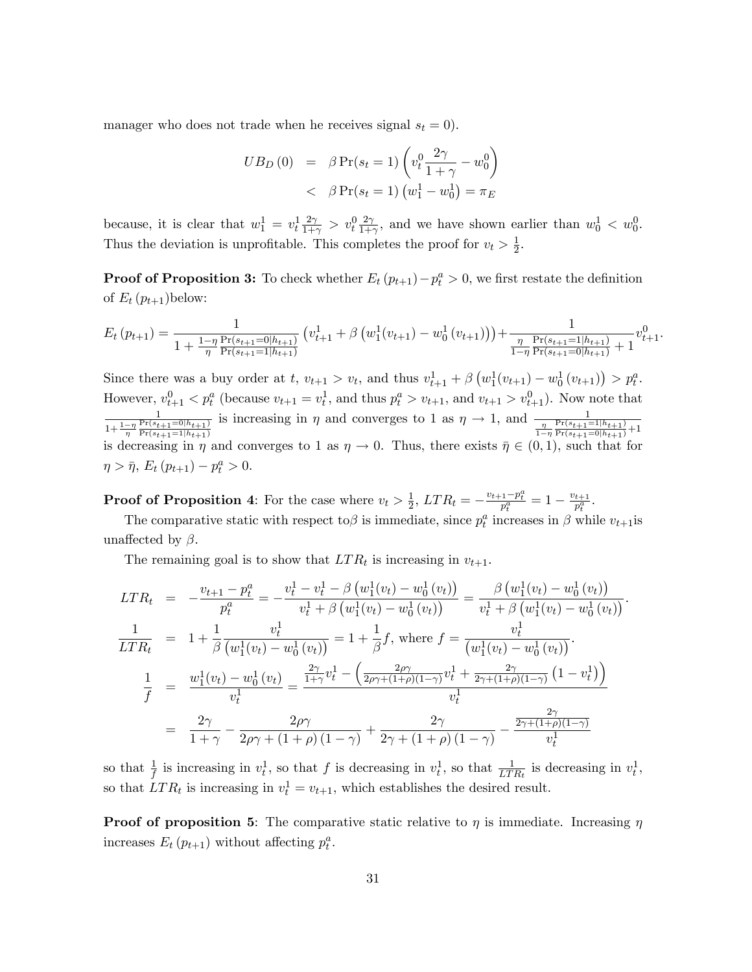manager who does not trade when he receives signal  $s_t = 0$ .

$$
UB_D(0) = \beta \Pr(s_t = 1) \left( v_t^0 \frac{2\gamma}{1+\gamma} - w_0^0 \right)
$$
  
< 
$$
\beta \Pr(s_t = 1) \left( w_1^1 - w_0^1 \right) = \pi_E
$$

because, it is clear that  $w_1^1 = v_t^1 \frac{2\gamma}{1+\gamma} > v_t^0 \frac{2\gamma}{1+\gamma}$  $\frac{2\gamma}{1+\gamma}$ , and we have shown earlier than  $w_0^1 < w_0^0$ . Thus the deviation is unprofitable. This completes the proof for  $v_t > \frac{1}{2}$  $\frac{1}{2}$ .

**Proof of Proposition 3:** To check whether  $E_t (p_{t+1}) - p_t^a > 0$ , we first restate the definition of  $E_t(p_{t+1})$ below:

$$
E_t(p_{t+1}) = \frac{1}{1 + \frac{1 - \eta}{\eta} \frac{\Pr(s_{t+1} = 0 | h_{t+1})}{\Pr(s_{t+1} = 1 | h_{t+1})}} \left( v_{t+1}^1 + \beta \left( w_1^1(v_{t+1}) - w_0^1(v_{t+1}) \right) \right) + \frac{1}{\frac{\eta}{1 - \eta} \frac{\Pr(s_{t+1} = 1 | h_{t+1})}{\Pr(s_{t+1} = 0 | h_{t+1})}} + 1^{v_{t+1}^0}.
$$

Since there was a buy order at  $t, v_{t+1} > v_t$ , and thus  $v_{t+1}^1 + \beta \left(w_1^1(v_{t+1}) - w_0^1(v_{t+1})\right) > p_t^a$ . However,  $v_{t+1}^0 < p_t^a$  (because  $v_{t+1} = v_t^1$ , and thus  $p_t^a > v_{t+1}$ , and  $v_{t+1} > v_{t+1}^0$ ). Now note that 1  $1+\frac{1-\eta}{\eta}\frac{\Pr(s_{t+1}=0|h_{t+1})}{\Pr(s_{t+1}=1|h_{t+1})}$  $\frac{1}{\Pr(s_{t+1}=0|h_{t+1})}$  is increasing in  $\eta$  and converges to 1 as  $\eta \to 1$ , and  $\frac{1}{\frac{\eta}{1-\eta} \Pr(s_{t+1}=1|h_{t+1})}$  $\frac{\Pr(s_{t+1}=1|h_{t+1})}{\Pr(s_{t+1}=0|h_{t+1})} + 1$ is decreasing in  $\eta$  and converges to 1 as  $\eta \to 0$ . Thus, there exists  $\bar{\eta} \in (0,1)$ , such that for  $\eta > \bar{\eta}, E_t(p_{t+1}) - p_t^a > 0.$ 

**Proof of Proposition 4:** For the case where  $v_t > \frac{1}{2}$  $\frac{1}{2}$ ,  $LTR_t = -\frac{v_{t+1} - p_t^a}{p_t^a} = 1 - \frac{v_{t+1}}{p_t^a}$  $\frac{t+1}{p_t^a}.$ 

The comparative static with respect to  $\beta$  is immediate, since  $p_t^a$  increases in  $\beta$  while  $v_{t+1}$  is unaffected by  $\beta$ .

The remaining goal is to show that  $LTR_t$  is increasing in  $v_{t+1}$ .

$$
LTR_t = -\frac{v_{t+1} - p_t^a}{p_t^a} = -\frac{v_t^1 - v_t^1 - \beta \left( w_1^1(v_t) - w_0^1(v_t) \right)}{v_t^1 + \beta \left( w_1^1(v_t) - w_0^1(v_t) \right)} = \frac{\beta \left( w_1^1(v_t) - w_0^1(v_t) \right)}{v_t^1 + \beta \left( w_1^1(v_t) - w_0^1(v_t) \right)}.
$$
\n
$$
\frac{1}{LTR_t} = 1 + \frac{1}{\beta} \frac{v_t^1}{\left( w_1^1(v_t) - w_0^1(v_t) \right)} = 1 + \frac{1}{\beta} f, \text{ where } f = \frac{v_t^1}{\left( w_1^1(v_t) - w_0^1(v_t) \right)}.
$$
\n
$$
\frac{1}{f} = \frac{w_1^1(v_t) - w_0^1(v_t)}{v_t^1} = \frac{\frac{2\gamma}{1 + \gamma} v_t^1 - \left( \frac{2\rho\gamma}{2\rho\gamma + (1 + \rho)(1 - \gamma)} v_t^1 + \frac{2\gamma}{2\gamma + (1 + \rho)(1 - \gamma)} \left( 1 - v_t^1 \right) \right)}{v_t^1}
$$
\n
$$
= \frac{2\gamma}{1 + \gamma} - \frac{2\rho\gamma}{2\rho\gamma + (1 + \rho)(1 - \gamma)} + \frac{2\gamma}{2\gamma + (1 + \rho)(1 - \gamma)} - \frac{\frac{2\gamma}{2\gamma + (1 + \rho)(1 - \gamma)}}{v_t^1}
$$

so that  $\frac{1}{f}$  is increasing in  $v_t^1$ , so that f is decreasing in  $v_t^1$ , so that  $\frac{1}{LTR_t}$  is decreasing in  $v_t^1$ , so that  $LTR_t$  is increasing in  $v_t^1 = v_{t+1}$ , which establishes the desired result.

**Proof of proposition 5:** The comparative static relative to  $\eta$  is immediate. Increasing  $\eta$ increases  $E_t(p_{t+1})$  without affecting  $p_t^a$ .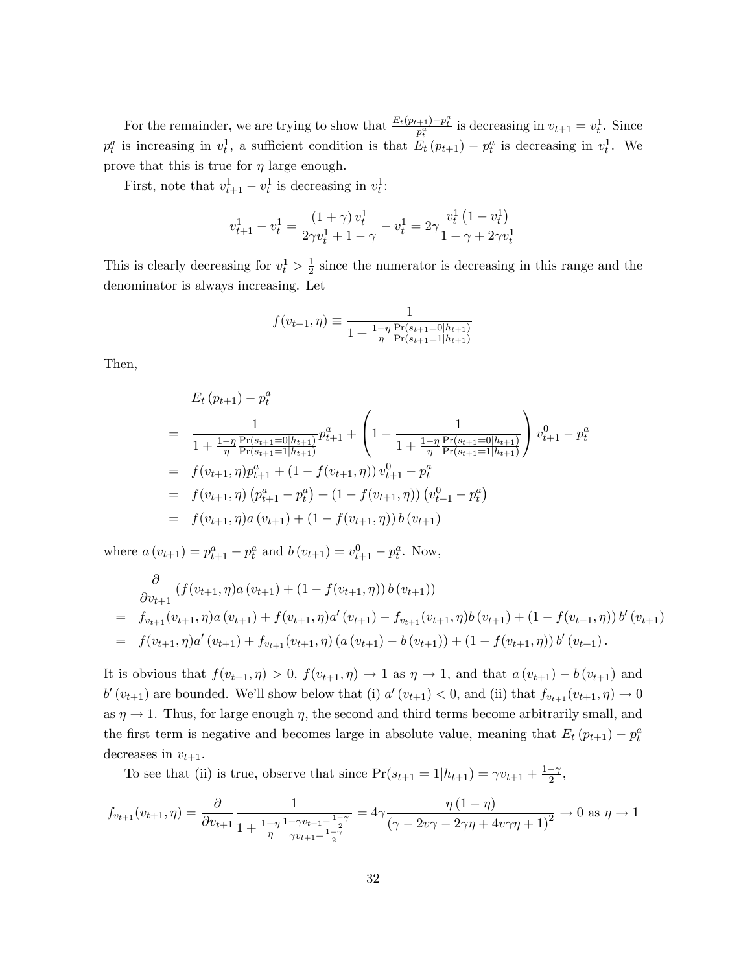For the remainder, we are trying to show that  $\frac{E_t(p_{t+1}) - p_t^a}{p_t^a}$  is decreasing in  $v_{t+1} = v_t^1$ . Since  $p_t^a$  is increasing in  $v_t^1$ , a sufficient condition is that  $E_t(p_{t+1}) - p_t^a$  is decreasing in  $v_t^1$ . We prove that this is true for  $\eta$  large enough.

First, note that  $v_{t+1}^1 - v_t^1$  is decreasing in  $v_t^1$ :

$$
v_{t+1}^1 - v_t^1 = \frac{(1+\gamma)v_t^1}{2\gamma v_t^1 + 1 - \gamma} - v_t^1 = 2\gamma \frac{v_t^1 (1 - v_t^1)}{1 - \gamma + 2\gamma v_t^1}
$$

This is clearly decreasing for  $v_t^1 > \frac{1}{2}$  $\frac{1}{2}$  since the numerator is decreasing in this range and the denominator is always increasing. Let

$$
f(v_{t+1}, \eta) \equiv \frac{1}{1 + \frac{1 - \eta}{\eta} \frac{\Pr(s_{t+1} = 0 | h_{t+1})}{\Pr(s_{t+1} = 1 | h_{t+1})}}
$$

Then,

$$
E_t(p_{t+1}) - p_t^a
$$
  
= 
$$
\frac{1}{1 + \frac{1 - \eta}{\eta} \frac{\Pr(s_{t+1} = 0 | h_{t+1})}{\Pr(s_{t+1} = 1 | h_{t+1})}} p_{t+1}^a + \left(1 - \frac{1}{1 + \frac{1 - \eta}{\eta} \frac{\Pr(s_{t+1} = 0 | h_{t+1})}{\Pr(s_{t+1} = 1 | h_{t+1})}} \right) v_{t+1}^0 - p_t^a
$$
  
=  $f(v_{t+1}, \eta) p_{t+1}^a + (1 - f(v_{t+1}, \eta)) v_{t+1}^0 - p_t^a$   
=  $f(v_{t+1}, \eta) (p_{t+1}^a - p_t^a) + (1 - f(v_{t+1}, \eta)) (v_{t+1}^0 - p_t^a)$   
=  $f(v_{t+1}, \eta) a (v_{t+1}) + (1 - f(v_{t+1}, \eta)) b (v_{t+1})$ 

where  $a(v_{t+1}) = p_{t+1}^a - p_t^a$  and  $b(v_{t+1}) = v_{t+1}^0 - p_t^a$ . Now,

$$
\frac{\partial}{\partial v_{t+1}} \left( f(v_{t+1}, \eta) a (v_{t+1}) + (1 - f(v_{t+1}, \eta)) b (v_{t+1}) \right)
$$
\n
$$
= f_{v_{t+1}}(v_{t+1}, \eta) a (v_{t+1}) + f(v_{t+1}, \eta) a' (v_{t+1}) - f_{v_{t+1}}(v_{t+1}, \eta) b (v_{t+1}) + (1 - f(v_{t+1}, \eta)) b' (v_{t+1})
$$
\n
$$
= f(v_{t+1}, \eta) a' (v_{t+1}) + f_{v_{t+1}}(v_{t+1}, \eta) (a (v_{t+1}) - b (v_{t+1})) + (1 - f(v_{t+1}, \eta)) b' (v_{t+1}).
$$

It is obvious that  $f(v_{t+1}, \eta) > 0$ ,  $f(v_{t+1}, \eta) \to 1$  as  $\eta \to 1$ , and that  $a(v_{t+1}) - b(v_{t+1})$  and  $b'(v_{t+1})$  are bounded. We'll show below that (i)  $a'(v_{t+1}) < 0$ , and (ii) that  $f_{v_{t+1}}(v_{t+1}, \eta) \to 0$ as  $\eta \to 1$ . Thus, for large enough  $\eta$ , the second and third terms become arbitrarily small, and the first term is negative and becomes large in absolute value, meaning that  $E_t (p_{t+1}) - p_t^a$ decreases in  $v_{t+1}$ .

To see that (ii) is true, observe that since  $Pr(s_{t+1} = 1 | h_{t+1}) = \gamma v_{t+1} + \frac{1-\gamma}{2}$ ,

$$
f_{v_{t+1}}(v_{t+1}, \eta) = \frac{\partial}{\partial v_{t+1}} \frac{1}{1 + \frac{1 - \eta}{\eta} \frac{1 - \gamma v_{t+1} - \frac{1 - \gamma}{2}}{\gamma v_{t+1} + \frac{1 - \gamma}{2}}} = 4\gamma \frac{\eta (1 - \eta)}{(\gamma - 2v\gamma - 2\gamma\eta + 4v\gamma\eta + 1)^2} \to 0 \text{ as } \eta \to 1
$$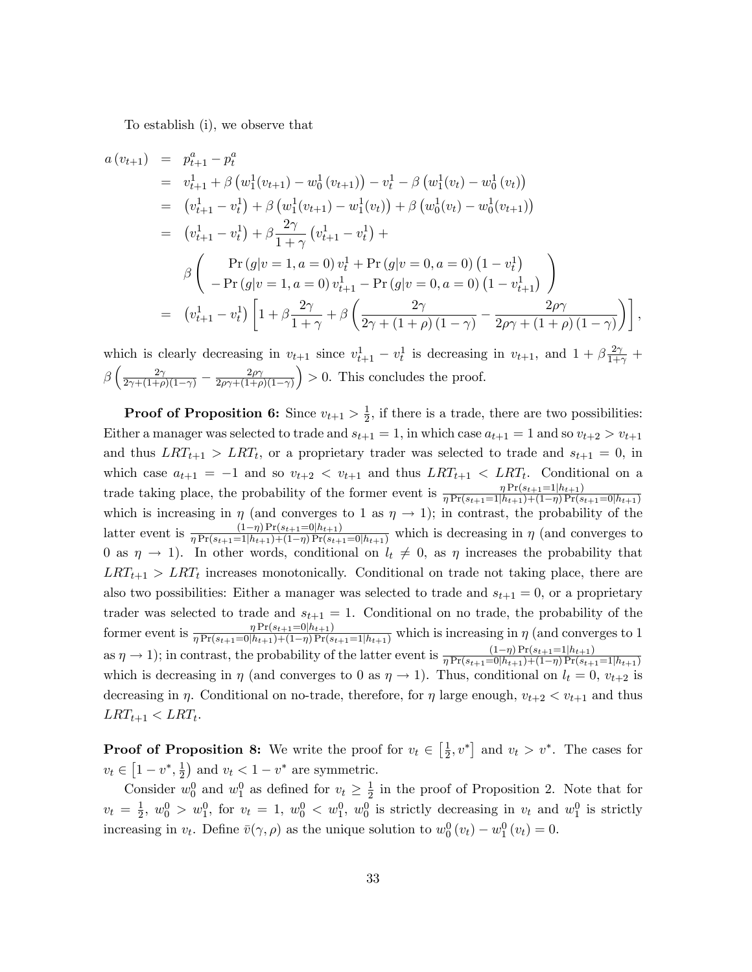To establish (i), we observe that

$$
a(v_{t+1}) = p_{t+1}^a - p_t^a
$$
  
\n
$$
= v_{t+1}^1 + \beta \left( w_1^1(v_{t+1}) - w_0^1(v_{t+1}) \right) - v_t^1 - \beta \left( w_1^1(v_t) - w_0^1(v_t) \right)
$$
  
\n
$$
= (v_{t+1}^1 - v_t^1) + \beta \left( w_1^1(v_{t+1}) - w_1^1(v_t) \right) + \beta \left( w_0^1(v_t) - w_0^1(v_{t+1}) \right)
$$
  
\n
$$
= (v_{t+1}^1 - v_t^1) + \beta \frac{2\gamma}{1+\gamma} \left( v_{t+1}^1 - v_t^1 \right) +
$$
  
\n
$$
\beta \left( \Pr(g|v=1, a=0) v_t^1 + \Pr(g|v=0, a=0) \left( 1 - v_t^1 \right) -
$$
  
\n
$$
- \Pr(g|v=1, a=0) v_{t+1}^1 - \Pr(g|v=0, a=0) \left( 1 - v_{t+1}^1 \right) \right)
$$
  
\n
$$
= (v_{t+1}^1 - v_t^1) \left[ 1 + \beta \frac{2\gamma}{1+\gamma} + \beta \left( \frac{2\gamma}{2\gamma + (1+\rho)(1-\gamma)} - \frac{2\rho\gamma}{2\rho\gamma + (1+\rho)(1-\gamma)} \right) \right],
$$

which is clearly decreasing in  $v_{t+1}$  since  $v_{t+1}^1 - v_t^1$  is decreasing in  $v_{t+1}$ , and  $1 + \beta \frac{2\gamma}{1+\gamma} + \gamma$  $\beta\left(\frac{2\gamma}{2\gamma+(1+\rho)(1-\gamma)}-\frac{2\rho\gamma}{2\rho\gamma+(1+\rho)}\right)$  $2\rho\gamma + (1+\rho)(1-\gamma)$  $\big) > 0$ . This concludes the proof.

**Proof of Proposition 6:** Since  $v_{t+1} > \frac{1}{2}$  $\frac{1}{2}$ , if there is a trade, there are two possibilities: Either a manager was selected to trade and  $s_{t+1} = 1$ , in which case  $a_{t+1} = 1$  and so  $v_{t+2} > v_{t+1}$ and thus  $LRT_{t+1} > LRT_t$ , or a proprietary trader was selected to trade and  $s_{t+1} = 0$ , in which case  $a_{t+1} = -1$  and so  $v_{t+2} < v_{t+1}$  and thus  $LRT_{t+1} < LRT_t$ . Conditional on a trade taking place, the probability of the former event is  $\frac{\eta \Pr(s_{t+1}=1|h_{t+1})}{\eta \Pr(s_{t+1}=1|h_{t+1})+(1-\eta)\Pr(s_{t+1}=0|h_{t+1})}$ which is increasing in  $\eta$  (and converges to 1 as  $\eta \to 1$ ); in contrast, the probability of the latter event is  $\frac{(1-\eta)Pr(s_{t+1}=0|h_{t+1})}{\eta Pr(s_{t+1}=1|h_{t+1})+(1-\eta)Pr(s_{t+1}=0|h_{t+1})}$  which is decreasing in  $\eta$  (and converges to 0 as  $\eta \to 1$ ). In other words, conditional on  $l_t \neq 0$ , as  $\eta$  increases the probability that  $LRT_{t+1} > LRT_t$  increases monotonically. Conditional on trade not taking place, there are also two possibilities: Either a manager was selected to trade and  $s_{t+1} = 0$ , or a proprietary trader was selected to trade and  $s_{t+1} = 1$ . Conditional on no trade, the probability of the former event is  $\frac{\eta \Pr(s_{t+1}=0|h_{t+1})}{\eta \Pr(s_{t+1}=0|h_{t+1})+(1-\eta)\Pr(s_{t+1}=1|h_{t+1})}$  which is increasing in  $\eta$  (and converges to 1 as  $\eta \to 1$ ); in contrast, the probability of the latter event is  $\frac{(1-\eta)Pr(s_{t+1}=1|h_{t+1})}{\eta Pr(s_{t+1}=0|h_{t+1})+(1-\eta)Pr(s_{t+1}=1|h_{t+1})}$ which is decreasing in  $\eta$  (and converges to 0 as  $\eta \to 1$ ). Thus, conditional on  $l_t = 0$ ,  $v_{t+2}$  is decreasing in  $\eta$ . Conditional on no-trade, therefore, for  $\eta$  large enough,  $v_{t+2} < v_{t+1}$  and thus  $LRT_{t+1} < LRT_t.$ 

**Proof of Proposition 8:** We write the proof for  $v_t \in \left[\frac{1}{2}\right]$  $\left[\frac{1}{2}, v^*\right]$  and  $v_t > v^*$ . The cases for  $v_t \in [1 - v^*, \frac{1}{2}]$  $\frac{1}{2}$  and  $v_t < 1 - v^*$  are symmetric.

Consider  $w_0^0$  and  $w_1^0$  as defined for  $v_t \geq \frac{1}{2}$  $\frac{1}{2}$  in the proof of Proposition 2. Note that for  $v_t = \frac{1}{2}$  $\frac{1}{2}$ ,  $w_0^0 > w_1^0$ , for  $v_t = 1$ ,  $w_0^0 < w_1^0$ ,  $w_0^0$  is strictly decreasing in  $v_t$  and  $w_1^0$  is strictly increasing in  $v_t$ . Define  $\bar{v}(\gamma,\rho)$  as the unique solution to  $w_0^0(v_t) - w_1^0(v_t) = 0$ .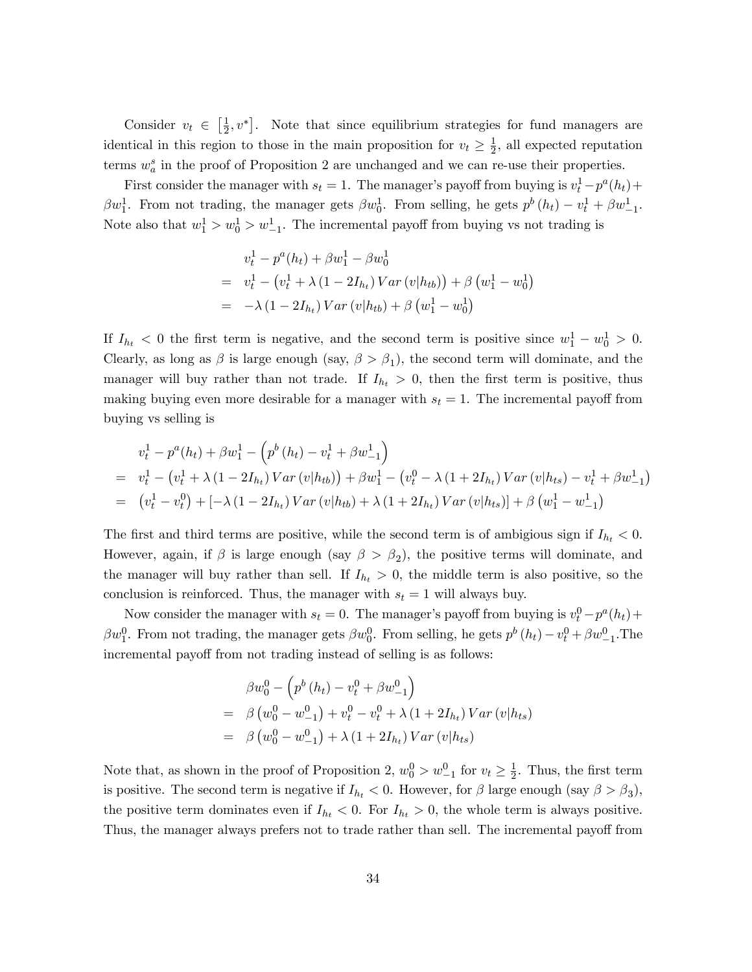Consider  $v_t \in \left[\frac{1}{2}\right]$  $\frac{1}{2}$ ,  $v^*$ ]. Note that since equilibrium strategies for fund managers are identical in this region to those in the main proposition for  $v_t \geq \frac{1}{2}$  $\frac{1}{2}$ , all expected reputation terms  $w_a^s$  in the proof of Proposition 2 are unchanged and we can re-use their properties.

First consider the manager with  $s_t = 1$ . The manager's payoff from buying is  $v_t^1 - p^a(h_t)$  +  $\beta w_1^1$ . From not trading, the manager gets  $\beta w_0^1$ . From selling, he gets  $p^b(h_t) - v_t^1 + \beta w_{-1}^1$ . Note also that  $w_1^1 > w_0^1 > w_{-1}^1$ . The incremental payoff from buying vs not trading is

$$
v_t^1 - p^a(h_t) + \beta w_1^1 - \beta w_0^1
$$
  
=  $v_t^1 - (v_t^1 + \lambda (1 - 2I_{h_t}) Var(v|h_{tb})) + \beta (w_1^1 - w_0^1)$   
=  $-\lambda (1 - 2I_{h_t}) Var(v|h_{tb}) + \beta (w_1^1 - w_0^1)$ 

If  $I_{h_t} < 0$  the first term is negative, and the second term is positive since  $w_1^1 - w_0^1 > 0$ . Clearly, as long as  $\beta$  is large enough (say,  $\beta > \beta_1$ ), the second term will dominate, and the manager will buy rather than not trade. If  $I_{h_t} > 0$ , then the first term is positive, thus making buying even more desirable for a manager with  $s_t = 1$ . The incremental payoff from buying vs selling is

$$
v_t^1 - p^a(h_t) + \beta w_1^1 - \left( p^b(h_t) - v_t^1 + \beta w_{-1}^1 \right)
$$
  
= 
$$
v_t^1 - \left( v_t^1 + \lambda (1 - 2I_{h_t}) Var(v|h_{tb}) \right) + \beta w_1^1 - \left( v_t^0 - \lambda (1 + 2I_{h_t}) Var(v|h_{ts}) - v_t^1 + \beta w_{-1}^1 \right)
$$
  
= 
$$
\left( v_t^1 - v_t^0 \right) + \left[ -\lambda (1 - 2I_{h_t}) Var(v|h_{tb}) + \lambda (1 + 2I_{h_t}) Var(v|h_{ts}) \right] + \beta \left( w_1^1 - w_{-1}^1 \right)
$$

The first and third terms are positive, while the second term is of ambigious sign if  $I_{h_t} < 0$ . However, again, if  $\beta$  is large enough (say  $\beta > \beta_2$ ), the positive terms will dominate, and the manager will buy rather than sell. If  $I_{h_t} > 0$ , the middle term is also positive, so the conclusion is reinforced. Thus, the manager with  $s_t = 1$  will always buy.

Now consider the manager with  $s_t = 0$ . The manager's payoff from buying is  $v_t^0 - p^a(h_t)$  +  $\beta w_1^0$ . From not trading, the manager gets  $\beta w_0^0$ . From selling, he gets  $p^b(h_t) - v_t^0 + \beta w_{-1}^0$ . The incremental payoff from not trading instead of selling is as follows:

$$
\beta w_0^0 - \left( p^b (h_t) - v_t^0 + \beta w_{-1}^0 \right) \n= \beta \left( w_0^0 - w_{-1}^0 \right) + v_t^0 - v_t^0 + \lambda \left( 1 + 2I_{h_t} \right) Var \left( v | h_{ts} \right) \n= \beta \left( w_0^0 - w_{-1}^0 \right) + \lambda \left( 1 + 2I_{h_t} \right) Var \left( v | h_{ts} \right)
$$

Note that, as shown in the proof of Proposition 2,  $w_0^0 > w_{-1}^0$  for  $v_t \ge \frac{1}{2}$  $\frac{1}{2}$ . Thus, the first term is positive. The second term is negative if  $I_{h_t} < 0$ . However, for  $\beta$  large enough (say  $\beta > \beta_3$ ), the positive term dominates even if  $I_{h_t} < 0$ . For  $I_{h_t} > 0$ , the whole term is always positive. Thus, the manager always prefers not to trade rather than sell. The incremental payoff from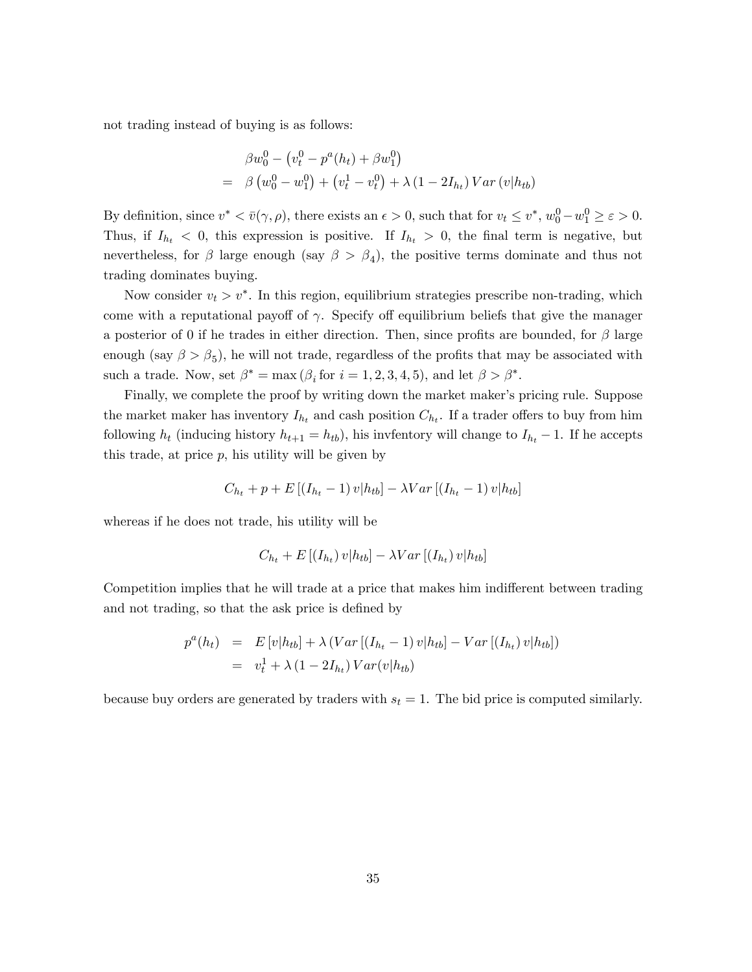not trading instead of buying is as follows:

$$
\beta w_0^0 - (v_t^0 - p^a(h_t) + \beta w_1^0)
$$
  
=  $\beta (w_0^0 - w_1^0) + (v_t^1 - v_t^0) + \lambda (1 - 2I_{h_t}) Var(v|h_{tb})$ 

By definition, since  $v^* < \bar{v}(\gamma, \rho)$ , there exists an  $\epsilon > 0$ , such that for  $v_t \leq v^*$ ,  $w_0^0 - w_1^0 \geq \epsilon > 0$ . Thus, if  $I_{h_t} < 0$ , this expression is positive. If  $I_{h_t} > 0$ , the final term is negative, but nevertheless, for  $\beta$  large enough (say  $\beta > \beta_4$ ), the positive terms dominate and thus not trading dominates buying.

Now consider  $v_t > v^*$ . In this region, equilibrium strategies prescribe non-trading, which come with a reputational payoff of  $\gamma$ . Specify off equilibrium beliefs that give the manager a posterior of 0 if he trades in either direction. Then, since profits are bounded, for  $\beta$  large enough (say  $\beta > \beta_5$ ), he will not trade, regardless of the profits that may be associated with such a trade. Now, set  $\beta^* = \max(\beta_i \text{ for } i = 1, 2, 3, 4, 5)$ , and let  $\beta > \beta^*$ .

Finally, we complete the proof by writing down the market maker's pricing rule. Suppose the market maker has inventory  $I_{h_t}$  and cash position  $C_{h_t}$ . If a trader offers to buy from him following  $h_t$  (inducing history  $h_{t+1} = h_{tb}$ ), his invfentory will change to  $I_{h_t} - 1$ . If he accepts this trade, at price  $p$ , his utility will be given by

$$
C_{h_t} + p + E [(I_{h_t} - 1) v | h_{tb}] - \lambda Var [(I_{h_t} - 1) v | h_{tb}]
$$

whereas if he does not trade, his utility will be

$$
C_{h_t} + E\left[ (I_{h_t})\, v | h_{tb} \right] - \lambda Var\left[ (I_{h_t})\, v | h_{tb} \right]
$$

Competition implies that he will trade at a price that makes him indifferent between trading and not trading, so that the ask price is defined by

$$
p^{a}(h_{t}) = E[v|h_{tb}] + \lambda (Var[(I_{h_{t}} - 1) v|h_{tb}] - Var[(I_{h_{t}}) v|h_{tb}])
$$
  
=  $v_{t}^{1} + \lambda (1 - 2I_{h_{t}}) Var(v|h_{tb})$ 

because buy orders are generated by traders with  $s_t = 1$ . The bid price is computed similarly.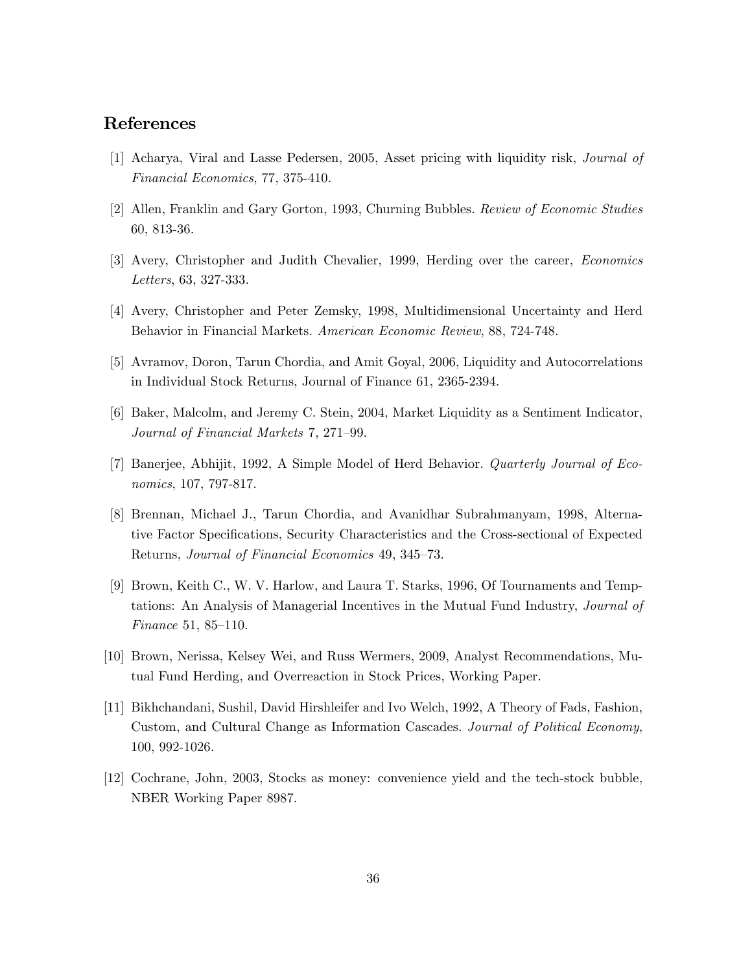## References

- [1] Acharya, Viral and Lasse Pedersen, 2005, Asset pricing with liquidity risk, Journal of Financial Economics, 77, 375-410.
- [2] Allen, Franklin and Gary Gorton, 1993, Churning Bubbles. Review of Economic Studies 60, 813-36.
- [3] Avery, Christopher and Judith Chevalier, 1999, Herding over the career, Economics Letters, 63, 327-333.
- [4] Avery, Christopher and Peter Zemsky, 1998, Multidimensional Uncertainty and Herd Behavior in Financial Markets. American Economic Review, 88, 724-748.
- [5] Avramov, Doron, Tarun Chordia, and Amit Goyal, 2006, Liquidity and Autocorrelations in Individual Stock Returns, Journal of Finance 61, 2365-2394.
- [6] Baker, Malcolm, and Jeremy C. Stein, 2004, Market Liquidity as a Sentiment Indicator, Journal of Financial Markets 7, 271–99.
- [7] Banerjee, Abhijit, 1992, A Simple Model of Herd Behavior. Quarterly Journal of Economics, 107, 797-817.
- [8] Brennan, Michael J., Tarun Chordia, and Avanidhar Subrahmanyam, 1998, Alternative Factor Specifications, Security Characteristics and the Cross-sectional of Expected Returns, Journal of Financial Economics 49, 345–73.
- [9] Brown, Keith C., W. V. Harlow, and Laura T. Starks, 1996, Of Tournaments and Temptations: An Analysis of Managerial Incentives in the Mutual Fund Industry, Journal of Finance 51, 85–110.
- [10] Brown, Nerissa, Kelsey Wei, and Russ Wermers, 2009, Analyst Recommendations, Mutual Fund Herding, and Overreaction in Stock Prices, Working Paper.
- [11] Bikhchandani, Sushil, David Hirshleifer and Ivo Welch, 1992, A Theory of Fads, Fashion, Custom, and Cultural Change as Information Cascades. Journal of Political Economy, 100, 992-1026.
- [12] Cochrane, John, 2003, Stocks as money: convenience yield and the tech-stock bubble, NBER Working Paper 8987.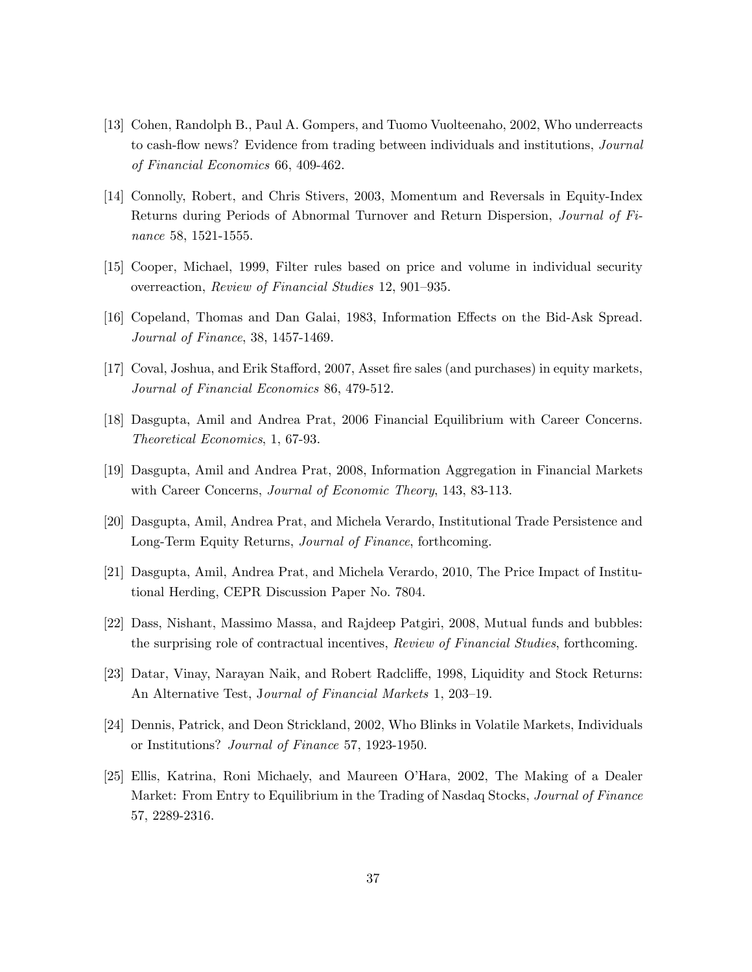- [13] Cohen, Randolph B., Paul A. Gompers, and Tuomo Vuolteenaho, 2002, Who underreacts to cash-flow news? Evidence from trading between individuals and institutions, *Journal* of Financial Economics 66, 409-462.
- [14] Connolly, Robert, and Chris Stivers, 2003, Momentum and Reversals in Equity-Index Returns during Periods of Abnormal Turnover and Return Dispersion, Journal of Finance 58, 1521-1555.
- [15] Cooper, Michael, 1999, Filter rules based on price and volume in individual security overreaction, Review of Financial Studies 12, 901–935.
- [16] Copeland, Thomas and Dan Galai, 1983, Information Effects on the Bid-Ask Spread. Journal of Finance, 38, 1457-1469.
- [17] Coval, Joshua, and Erik Stafford, 2007, Asset fire sales (and purchases) in equity markets, Journal of Financial Economics 86, 479-512.
- [18] Dasgupta, Amil and Andrea Prat, 2006 Financial Equilibrium with Career Concerns. Theoretical Economics, 1, 67-93.
- [19] Dasgupta, Amil and Andrea Prat, 2008, Information Aggregation in Financial Markets with Career Concerns, *Journal of Economic Theory*, 143, 83-113.
- [20] Dasgupta, Amil, Andrea Prat, and Michela Verardo, Institutional Trade Persistence and Long-Term Equity Returns, Journal of Finance, forthcoming.
- [21] Dasgupta, Amil, Andrea Prat, and Michela Verardo, 2010, The Price Impact of Institutional Herding, CEPR Discussion Paper No. 7804.
- [22] Dass, Nishant, Massimo Massa, and Rajdeep Patgiri, 2008, Mutual funds and bubbles: the surprising role of contractual incentives, Review of Financial Studies, forthcoming.
- [23] Datar, Vinay, Narayan Naik, and Robert Radcliffe, 1998, Liquidity and Stock Returns: An Alternative Test, Journal of Financial Markets 1, 203-19.
- [24] Dennis, Patrick, and Deon Strickland, 2002, Who Blinks in Volatile Markets, Individuals or Institutions? Journal of Finance 57, 1923-1950.
- [25] Ellis, Katrina, Roni Michaely, and Maureen OíHara, 2002, The Making of a Dealer Market: From Entry to Equilibrium in the Trading of Nasdaq Stocks, Journal of Finance 57, 2289-2316.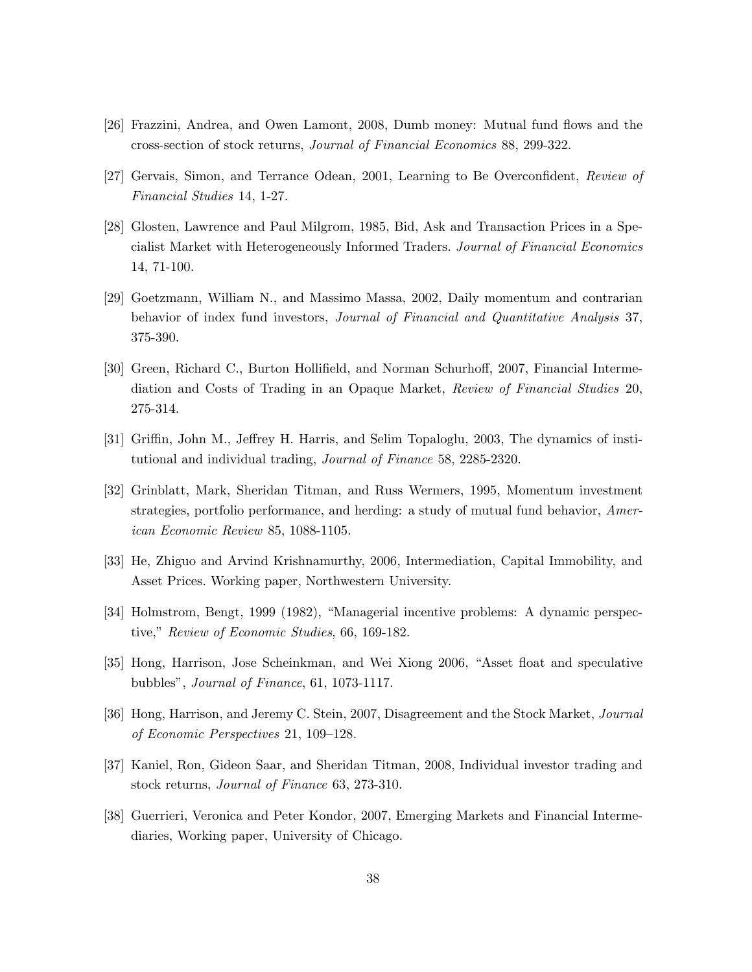- [26] Frazzini, Andrea, and Owen Lamont, 2008, Dumb money: Mutual fund áows and the cross-section of stock returns, Journal of Financial Economics 88, 299-322.
- [27] Gervais, Simon, and Terrance Odean, 2001, Learning to Be Overconfident, Review of Financial Studies 14, 1-27.
- [28] Glosten, Lawrence and Paul Milgrom, 1985, Bid, Ask and Transaction Prices in a Specialist Market with Heterogeneously Informed Traders. Journal of Financial Economics 14, 71-100.
- [29] Goetzmann, William N., and Massimo Massa, 2002, Daily momentum and contrarian behavior of index fund investors, Journal of Financial and Quantitative Analysis 37, 375-390.
- [30] Green, Richard C., Burton Hollifield, and Norman Schurhoff, 2007, Financial Intermediation and Costs of Trading in an Opaque Market, Review of Financial Studies 20, 275-314.
- [31] Griffin, John M., Jeffrey H. Harris, and Selim Topaloglu, 2003, The dynamics of institutional and individual trading, Journal of Finance 58, 2285-2320.
- [32] Grinblatt, Mark, Sheridan Titman, and Russ Wermers, 1995, Momentum investment strategies, portfolio performance, and herding: a study of mutual fund behavior, American Economic Review 85, 1088-1105.
- [33] He, Zhiguo and Arvind Krishnamurthy, 2006, Intermediation, Capital Immobility, and Asset Prices. Working paper, Northwestern University.
- [34] Holmstrom, Bengt, 1999 (1982), "Managerial incentive problems: A dynamic perspective," Review of Economic Studies, 66, 169-182.
- [35] Hong, Harrison, Jose Scheinkman, and Wei Xiong 2006, "Asset float and speculative bubblesî, Journal of Finance, 61, 1073-1117.
- [36] Hong, Harrison, and Jeremy C. Stein, 2007, Disagreement and the Stock Market, Journal of Economic Perspectives 21,  $109-128$ .
- [37] Kaniel, Ron, Gideon Saar, and Sheridan Titman, 2008, Individual investor trading and stock returns, Journal of Finance 63, 273-310.
- [38] Guerrieri, Veronica and Peter Kondor, 2007, Emerging Markets and Financial Intermediaries, Working paper, University of Chicago.